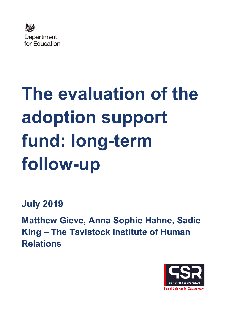

# **The evaluation of the adoption support fund: long-term follow-up**

**July 2019** 

**Matthew Gieve, Anna Sophie Hahne, Sadie King – The Tavistock Institute of Human Relations** 

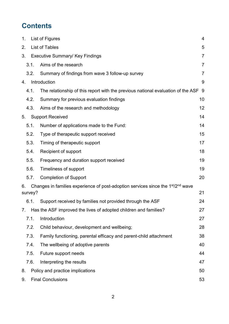# **Contents**

| 1.             |         | List of Figures                                                                                          | 4              |
|----------------|---------|----------------------------------------------------------------------------------------------------------|----------------|
| 2.             |         | <b>List of Tables</b>                                                                                    | 5              |
| 3.             |         | <b>Executive Summary/ Key Findings</b>                                                                   | $\overline{7}$ |
|                | 3.1.    | Aims of the research                                                                                     | 7              |
|                | 3.2.    | Summary of findings from wave 3 follow-up survey                                                         | $\overline{7}$ |
| 4.             |         | Introduction                                                                                             | 9              |
|                | 4.1.    | The relationship of this report with the previous national evaluation of the ASF 9                       |                |
|                | 4.2.    | Summary for previous evaluation findings                                                                 | 10             |
|                | 4.3.    | Aims of the research and methodology                                                                     | 12             |
| 5 <sub>1</sub> |         | <b>Support Received</b>                                                                                  | 14             |
|                | 5.1.    | Number of applications made to the Fund:                                                                 | 14             |
|                | 5.2.    | Type of therapeutic support received                                                                     | 15             |
|                | 5.3.    | Timing of therapeutic support                                                                            | 17             |
|                | 5.4.    | Recipient of support                                                                                     | 18             |
|                | 5.5.    | Frequency and duration support received                                                                  | 19             |
|                | 5.6.    | Timeliness of support                                                                                    | 19             |
|                | 5.7.    | <b>Completion of Support</b>                                                                             | 20             |
| 6.             | survey? | Changes in families experience of post-adoption services since the 1 <sup>st</sup> /2 <sup>nd</sup> wave | 21             |
|                | 6.1.    | Support received by families not provided through the ASF                                                | 24             |
| 7.             |         | Has the ASF improved the lives of adopted children and families?                                         | 27             |
|                | 7.1.    | Introduction                                                                                             | 27             |
|                | 7.2.    | Child behaviour, development and wellbeing;                                                              | 28             |
|                | 7.3.    | Family functioning, parental efficacy and parent-child attachment                                        | 38             |
|                | 7.4.    | The wellbeing of adoptive parents                                                                        | 40             |
|                | 7.5.    | Future support needs                                                                                     | 44             |
|                | 7.6.    | Interpreting the results                                                                                 | 47             |
| 8.             |         | Policy and practice implications                                                                         | 50             |
| 9.             |         | <b>Final Conclusions</b>                                                                                 | 53             |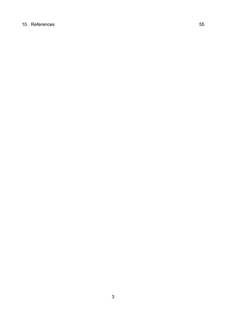#### 10. [References](#page-54-0) 55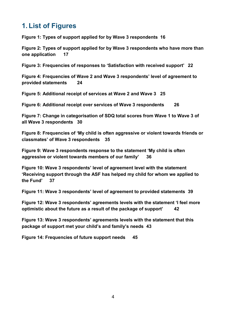# <span id="page-3-0"></span>**1. List of Figures**

**[Figure 1: Types of support applied for by Wave 3 respondents](#page-15-0) 16**

**[Figure 2: Types of support applied for by Wave 3 respondents who have more than](#page-16-1)  [one application](#page-16-1) 17**

**[Figure 3: Frequencies of responses to 'Satisfaction with received support'](#page-21-0) 22**

**[Figure 4: Frequencies of Wave 2 and Wave 3 respondents' level of agreement to](#page-23-1)  [provided statements](#page-23-1) 24**

**[Figure 5: Additional receipt of services at Wave 2 and Wave 3](#page-24-0) 25**

**[Figure 6: Additional receipt over services of Wave 3 respondents](#page-25-0) 26**

**[Figure 7: Change in categorisation of SDQ total scores from Wave 1 to Wave 3 of](#page-29-0)  [all Wave 3 respondents](#page-29-0) 30**

**[Figure 8: Frequencies of 'My child is often aggressive or violent towards friends or](#page-34-0)  [classmates' of Wave 3 respondents](#page-34-0) 35**

**[Figure 9: Wave 3 respondents response to the statement 'My child is often](#page-35-0)  [aggressive or violent towards members of our family'](#page-35-0) 36**

**[Figure 10: Wave 3 respondents' level of agreement level with the statement](#page-36-0)  ['Receiving support through the ASF has helped my child for whom we applied to](#page-36-0)  [the Fund'](#page-36-0) 37**

**[Figure 11: Wave 3 respondents' level of agreement to provided statements](#page-38-0) 39**

**[Figure 12: Wave 3 respondents' agreements levels with the statement 'I feel more](#page-41-0)  [optimistic about the future as a result of the package of support'](#page-41-0) 42**

**[Figure 13: Wave 3 respondents' agreements levels with the statement that this](#page-42-0)  [package of support met your child's and family's needs](#page-42-0) 43**

**[Figure 14: Frequencies of future support needs](#page-44-0) 45**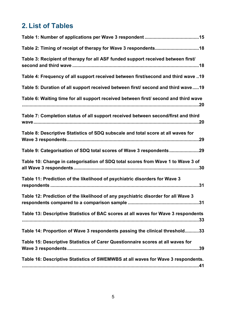# <span id="page-4-0"></span>**2. List of Tables**

| Table 3: Recipient of therapy for all ASF funded support received between first/    |
|-------------------------------------------------------------------------------------|
| Table 4: Frequency of all support received between first/second and third wave 19   |
| Table 5: Duration of all support received between first/ second and third wave19    |
| Table 6: Waiting time for all support received between first/ second and third wave |
| Table 7: Completion status of all support received between second/first and third   |
| Table 8: Descriptive Statistics of SDQ subscale and total score at all waves for    |
| Table 9: Categorisation of SDQ total scores of Wave 3 respondents29                 |
| Table 10: Change in categorisation of SDQ total scores from Wave 1 to Wave 3 of     |
| Table 11: Prediction of the likelihood of psychiatric disorders for Wave 3          |
| Table 12: Prediction of the likelihood of any psychiatric disorder for all Wave 3   |
| Table 13: Descriptive Statistics of BAC scores at all waves for Wave 3 respondents  |
| Table 14: Proportion of Wave 3 respondents passing the clinical threshold33         |
| Table 15: Descriptive Statistics of Carer Questionnaire scores at all waves for     |
| Table 16: Descriptive Statistics of SWEMWBS at all waves for Wave 3 respondents.    |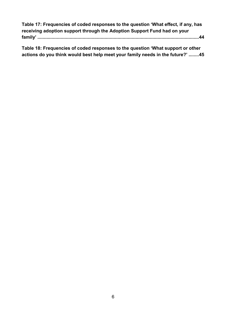**[Table 17: Frequencies of coded responses to the question 'What](#page-43-1) effect, if any, has [receiving adoption support through the Adoption Support Fund had on your](#page-43-1)  family' [.............................................................................................................................44](#page-43-1)**

**Table 18: [Frequencies of coded responses to the question 'What support or other](#page-44-1)  [actions do you think would best help meet your family needs in the future?'](#page-44-1) ........45**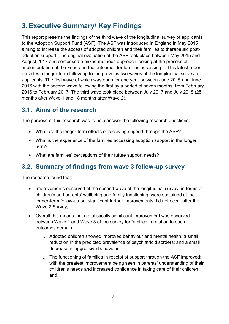# <span id="page-6-0"></span>**3. Executive Summary/ Key Findings**

This report presents the findings of the third wave of the longitudinal survey of applicants to the Adoption Support Fund (ASF). The ASF was introduced in England in May 2015 aiming to increase the access of adopted children and their families to therapeutic postadoption support. The original evaluation of the ASF took place between May 2015 and August 2017 and comprised a mixed methods approach looking at the process of implementation of the Fund and the outcomes for families accessing it. This latest report provides a longer-term follow-up to the previous two waves of the longitudinal survey of applicants. The first wave of which was open for one year between June 2015 and June 2016 with the second wave following the first by a period of seven months, from February 2016 to February 2017. The third wave took place between July 2017 and July 2018 (25 months after Wave 1 and 18 months after Wave 2).

# <span id="page-6-1"></span>**3.1. Aims of the research**

The purpose of this research was to help answer the following research questions:

- What are the longer-term effects of receiving support through the ASF?
- What is the experience of the families accessing adoption support in the longer term?
- What are families' perceptions of their future support needs?

# <span id="page-6-2"></span>**3.2. Summary of findings from wave 3 follow-up survey**

The research found that:

- Improvements observed at the second wave of the longitudinal survey, in terms of children's and parents' wellbeing and family functioning, were sustained at the longer-term follow-up but significant further improvements did not occur after the Wave 2 Survey;
- Overall this means that a statistically significant improvement was observed between Wave 1 and Wave 3 of the survey for families in relation to each outcomes domain;
	- o Adopted children showed improved behaviour and mental health; a small reduction in the predicted prevalence of psychiatric disorders; and a small decrease in aggressive behaviour;
	- o The functioning of families in receipt of support through the ASF improved; with the greatest improvement being seen in parents' understanding of their children's needs and increased confidence in taking care of their children; and,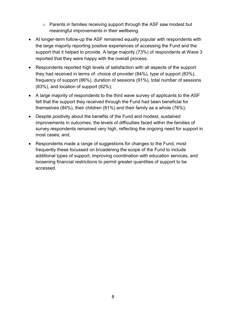- o Parents in families receiving support through the ASF saw modest but meaningful improvements in their wellbeing.
- At longer-term follow-up the ASF remained equally popular with respondents with the large majority reporting positive experiences of accessing the Fund and the support that it helped to provide. A large majority (73%) of respondents at Wave 3 reported that they were happy with the overall process;
- Respondents reported high levels of satisfaction with all aspects of the support they had received in terms of: choice of provider (84%), type of support (83%), frequency of support (86%), duration of sessions (91%), total number of sessions (83%), and location of support (82%);
- A large majority of respondents to the third wave survey of applicants to the ASF felt that the support they received through the Fund had been beneficial for themselves (84%), their children (81%) and their family as a whole (76%);
- Despite positivity about the benefits of the Fund and modest, sustained improvements in outcomes, the levels of difficulties faced within the families of survey respondents remained very high, reflecting the ongoing need for support in most cases; and,
- Respondents made a range of suggestions for changes to the Fund, most frequently these focussed on broadening the scope of the Fund to include additional types of support, improving coordination with education services, and loosening financial restrictions to permit greater quantities of support to be accessed.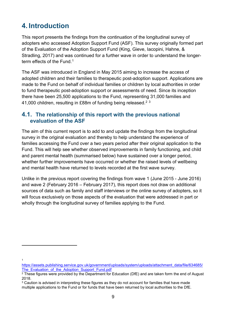# <span id="page-8-0"></span>**4. Introduction**

This report presents the findings from the continuation of the longitudinal survey of adopters who accessed Adoption Support Fund (ASF). This survey originally formed part of the Evaluation of the Adoption Support Fund (King, Gieve, Iacopini, Hahne, & Stradling, 2017) and was continued for a further wave in order to understand the longerterm effects of the Fund. [1](#page-8-2)

The ASF was introduced in England in May 2015 aiming to increase the access of adopted children and their families to therapeutic post-adoption support. Applications are made to the Fund on behalf of individual families or children by local authorities in order to fund therapeutic post-adoption support or assessments of need. Since its inception there have been 25,500 applications to the Fund, representing 31,000 families and 41,000 children, resulting in £88m of funding being released. $^{\rm 2}$  $^{\rm 2}$  $^{\rm 2}$   $^{\rm 3}$  $^{\rm 3}$  $^{\rm 3}$ 

#### <span id="page-8-1"></span>**4.1. The relationship of this report with the previous national evaluation of the ASF**

The aim of this current report is to add to and update the findings from the longitudinal survey in the original evaluation and thereby to help understand the experience of families accessing the Fund over a two years period after their original application to the Fund. This will help see whether observed improvements in family functioning, and child and parent mental health (summarised below) have sustained over a longer period, whether further improvements have occurred or whether the raised levels of wellbeing and mental health have returned to levels recorded at the first wave survey.

Unlike in the previous report covering the findings from wave 1 (June 2015 - June 2016) and wave 2 (February 2016 – February 2017), this report does not draw on additional sources of data such as family and staff interviews or the online survey of adopters, so it will focus exclusively on those aspects of the evaluation that were addressed in part or wholly through the longitudinal survey of families applying to the Fund.

1

-

<span id="page-8-2"></span>[https://assets.publishing.service.gov.uk/government/uploads/system/uploads/attachment\\_data/file/634685/](https://assets.publishing.service.gov.uk/government/uploads/system/uploads/attachment_data/file/634685/The_Evaluation_of_the_Adoption_Support_Fund.pdf) The Evaluation of the Adoption Support Fund.pdf

<span id="page-8-3"></span><sup>&</sup>lt;sup>2</sup> These figures were provided by the Department for Education (DfE) and are taken form the end of August 2018.

<span id="page-8-4"></span> $3$  Caution is advised in interpreting these figures as they do not account for families that have made multiple applications to the Fund or for funds that have been returned by local authorities to the DfE.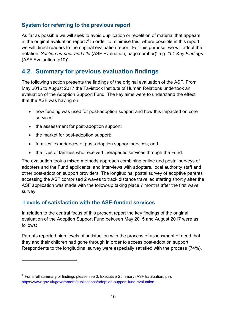## **System for referring to the previous report**

As far as possible we will seek to avoid duplication or repetition of material that appears in the original evaluation report **.** [4](#page-9-1) In order to minimise this, where possible in this report we will direct readers to the original evaluation report. For this purpose, we will adopt the notation '*Section number and title* (ASF Evaluation, page number)' e.g. *'3.1 Key Findings* (ASF Evaluation, p10)'.

# <span id="page-9-0"></span>**4.2. Summary for previous evaluation findings**

The following section presents the findings of the original evaluation of the ASF. From May 2015 to August 2017 the Tavistock Institute of Human Relations undertook an evaluation of the Adoption Support Fund. The key aims were to understand the effect that the ASF was having on:

- how funding was used for post-adoption support and how this impacted on core services;
- the assessment for post-adoption support;
- the market for post-adoption support;

-

- families' experiences of post-adoption support services; and,
- the lives of families who received therapeutic services through the Fund.

The evaluation took a mixed methods approach combining online and postal surveys of adopters and the Fund applicants, and interviews with adopters, local authority staff and other post-adoption support providers. The longitudinal postal survey of adoptive parents accessing the ASF comprised 2 waves to track distance travelled starting shortly after the ASF application was made with the follow-up taking place 7 months after the first wave survey.

#### **Levels of satisfaction with the ASF-funded services**

In relation to the central focus of this present report the key findings of the original evaluation of the Adoption Support Fund between May 2015 and August 2017 were as follows:

Parents reported high levels of satisfaction with the process of assessment of need that they and their children had gone through in order to access post-adoption support. Respondents to the longitudinal survey were especially satisfied with the process (74%),

<span id="page-9-1"></span><sup>4</sup> For a full summary of findings please see 3. Executive Summary (ASF Evaluation, p9). <https://www.gov.uk/government/publications/adoption-support-fund-evaluation>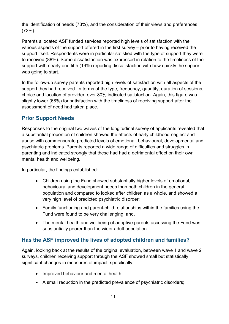the identification of needs (73%), and the consideration of their views and preferences (72%).

Parents allocated ASF funded services reported high levels of satisfaction with the various aspects of the support offered in the first survey – prior to having received the support itself. Respondents were in particular satisfied with the type of support they were to received (88%). Some dissatisfaction was expressed in relation to the timeliness of the support with nearly one fifth (19%) reporting dissatisfaction with how quickly the support was going to start.

In the follow-up survey parents reported high levels of satisfaction with all aspects of the support they had received. In terms of the type, frequency, quantity, duration of sessions, choice and location of provider, over 80% indicated satisfaction. Again, this figure was slightly lower (68%) for satisfaction with the timeliness of receiving support after the assessment of need had taken place.

## **Prior Support Needs**

Responses to the original two waves of the longitudinal survey of applicants revealed that a substantial proportion of children showed the effects of early childhood neglect and abuse with commensurate predicted levels of emotional, behavioural, developmental and psychiatric problems. Parents reported a wide range of difficulties and struggles in parenting and indicated strongly that these had had a detrimental effect on their own mental health and wellbeing.

In particular, the findings established:

- Children using the Fund showed substantially higher levels of emotional, behavioural and development needs than both children in the general population and compared to looked after children as a whole, and showed a very high level of predicted psychiatric disorder;
- Family functioning and parent-child relationships within the families using the Fund were found to be very challenging; and,
- The mental health and wellbeing of adoptive parents accessing the Fund was substantially poorer than the wider adult population.

## **Has the ASF improved the lives of adopted children and families?**

Again, looking back at the results of the original evaluation, between wave 1 and wave 2 surveys, children receiving support through the ASF showed small but statistically significant changes in measures of impact, specifically:

- Improved behaviour and mental health;
- A small reduction in the predicted prevalence of psychiatric disorders;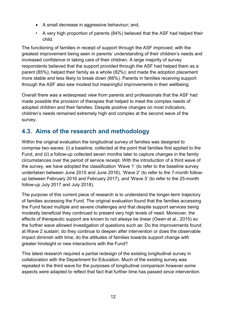- A small decrease in aggressive behaviour; and,
- A very high proportion of parents (84%) believed that the ASF had helped their child.

The functioning of families in receipt of support through the ASF improved; with the greatest improvement being seen in parents' understanding of their children's needs and increased confidence in taking care of their children. A large majority of survey respondents believed that the support provided through the ASF had helped them as a parent (85%); helped their family as a whole (82%); and made the adoption placement more stable and less likely to break down (66%). Parents in families receiving support through the ASF also saw modest but meaningful improvements in their wellbeing.

Overall there was a widespread view from parents and professionals that the ASF had made possible the provision of therapies that helped to meet the complex needs of adopted children and their families. Despite positive changes on most indicators, children's needs remained extremely high and complex at the second wave of the survey.

# <span id="page-11-0"></span>**4.3. Aims of the research and methodology**

Within the original evaluation the longitudinal survey of families was designed to comprise two waves: (i) a baseline, collected at the point that families first applied to the Fund, and (ii) a follow-up collected seven months later to capture changes in the family circumstances over the period of service receipt. With the introduction of a third wave of the survey, we have adopted the classification 'Wave 1' (to refer to the baseline survey undertaken between June 2015 and June 2016), 'Wave 2' (to refer to the 7-month followup between February 2016 and February 2017), and 'Wave 3' (to refer to the 25-month follow-up July 2017 and July 2018).

The purpose of this current piece of research is to understand the longer-term trajectory of families accessing the Fund. The original evaluation found that the families accessing the Fund faced multiple and severe challenges and that despite support services being modestly beneficial they continued to present very high levels of need. Moreover, the effects of therapeutic support are known to not always be linear (Owen et al., 2015) so the further wave allowed investigation of questions such as: Do the improvements found at Wave 2 sustain; do they continue to deepen after intervention or does the observable impact diminish with time; do the attitudes of families towards support change with greater hindsight or new interactions with the Fund?

This latest research required a partial redesign of the existing longitudinal survey in collaboration with the Department for Education. Much of the existing survey was repeated in the third wave for the purposes of longitudinal comparison however some aspects were adapted to reflect that fact that further time has passed since intervention.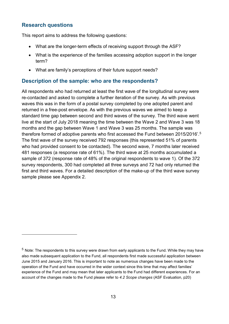#### **Research questions**

<u>.</u>

This report aims to address the following questions:

- What are the longer-term effects of receiving support through the ASF?
- What is the experience of the families accessing adoption support in the longer term?
- What are family's perceptions of their future support needs?

#### **Description of the sample: who are the respondents?**

All respondents who had returned at least the first wave of the longitudinal survey were re-contacted and asked to complete a further iteration of the survey. As with previous waves this was in the form of a postal survey completed by one adopted parent and returned in a free-post envelope. As with the previous waves we aimed to keep a standard time gap between second and third waves of the survey. The third wave went live at the start of July 2018 meaning the time between the Wave 2 and Wave 3 was 18 months and the gap between Wave 1 and Wave 3 was 25 months. The sample was therefore formed of adoptive parents who first accessed the Fund between 2015/2016'.[5](#page-12-0) The first wave of the survey received 792 responses (this represented 51% of parents who had provided consent to be contacted). The second wave, 7 months later received 481 responses (a response rate of 61%). The third wave at 25 months accumulated a sample of 372 (response rate of 48% of the original respondents to wave 1). Of the 372 survey respondents, 300 had completed all three surveys and 72 had only returned the first and third waves. For a detailed description of the make-up of the third wave survey sample please see Appendix 2.

<span id="page-12-0"></span><sup>5</sup> Note: The respondents to this survey were drawn from early applicants to the Fund. While they may have also made subsequent application to the Fund, all respondents first made successful application between June 2015 and January 2016. This is important to note as numerous changes have been made to the operation of the Fund and have occurred in the wider context since this time that may affect families' experience of the Fund and may mean that later applicants to the Fund had different experiences. For an account of the changes made to the Fund please refer to *4.2 Scope changes* (ASF Evaluation, p20)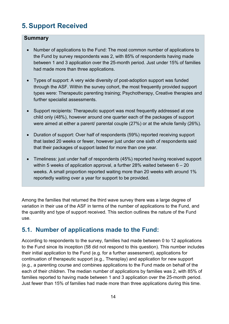# <span id="page-13-0"></span>**5. Support Received**

#### **Summary**

- Number of applications to the Fund: The most common number of applications to the Fund by survey respondents was 2, with 85% of respondents having made between 1 and 3 application over the 25-month period. Just under 15% of families had made more than three applications.
- Types of support: A very wide diversity of post-adoption support was funded through the ASF. Within the survey cohort, the most frequently provided support types were: Therapeutic parenting training; Psychotherapy, Creative therapies and further specialist assessments.
- Support recipients: Therapeutic support was most frequently addressed at one child only (48%), however around one quarter each of the packages of support were aimed at either a parent/ parental couple (27%) or at the whole family (26%).
- Duration of support: Over half of respondents (59%) reported receiving support that lasted 20 weeks or fewer, however just under one sixth of respondents said that their packages of support lasted for more than one year.
- Timeliness: just under half of respondents (45%) reported having received support within 5 weeks of application approval, a further 28% waited between 6 – 20 weeks. A small proportion reported waiting more than 20 weeks with around 1% reportedly waiting over a year for support to be provided.

Among the families that returned the third wave survey there was a large degree of variation in their use of the ASF in terms of the number of applications to the Fund, and the quantity and type of support received. This section outlines the nature of the Fund use.

# <span id="page-13-1"></span>**5.1. Number of applications made to the Fund:**

According to respondents to the survey, families had made between 0 to 12 applications to the Fund since its inception (58 did not respond to this question). This number includes their initial application to the Fund (e.g. for a further assessment), applications for continuation of therapeutic support (e.g., Theraplay) and application for new support (e.g., a parenting course and combines applications to the Fund made on behalf of the each of their children. The median number of applications by families was 2, with 85% of families reported to having made between 1 and 3 application over the 25-month period. Just fewer than 15% of families had made more than three applications during this time.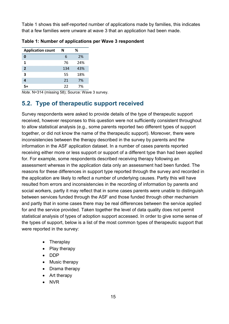Table 1 shows this self-reported number of applications made by families, this indicates that a few families were unware at wave 3 that an application had been made.

| <b>Application count</b> | N   | %   |
|--------------------------|-----|-----|
| 0                        | 6   | 2%  |
| 1                        | 76  | 24% |
| $\overline{2}$           | 134 | 43% |
| 3                        | 55  | 18% |
| 4                        | 21  | 7%  |
| ᇊ                        | 22  | 7%  |

<span id="page-14-1"></span>**Table 1: Number of applications per Wave 3 respondent**

*Note*. N=314 (missing 58); Source: Wave 3 survey.

# <span id="page-14-0"></span>**5.2. Type of therapeutic support received**

Survey respondents were asked to provide details of the type of therapeutic support received, however responses to this question were not sufficiently consistent throughout to allow statistical analysis (e.g., some parents reported two different types of support together, or did not know the name of the therapeutic support). Moreover, there were inconsistencies between the therapy described in the survey by parents and the information in the ASF application dataset. In a number of cases parents reported receiving either more or less support or support of a different type than had been applied for. For example, some respondents described receiving therapy following an assessment whereas in the application data only an assessment had been funded. The reasons for these differences in support type reported through the survey and recorded in the application are likely to reflect a number of underlying causes. Partly this will have resulted from errors and inconsistencies in the recording of information by parents and social workers, partly it may reflect that in some cases parents were unable to distinguish between services funded through the ASF and those funded through other mechanism and partly that in some cases there may be real differences between the service applied for and the service provided. Taken together the level of data quality does not permit statistical analysis of types of adoption support accessed. In order to give some sense of the types of support, below is a list of the most common types of therapeutic support that were reported in the survey:

- Theraplay
- Play therapy
- DDP
- Music therapy
- Drama therapy
- Art therapy
- NVR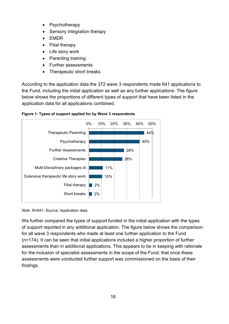- **Psychotherapy**
- Sensory integration therapy
- EMDR
- Filial therapy
- Life story work
- Parenting training
- Further assessments
- Therapeutic short breaks

According to the application data the 372 wave 3 respondents made 641 applications to the Fund, including the initial application as well as any further applications. The figure below shows the proportions of different types of support that have been listed in the application data for all applications combined.



<span id="page-15-0"></span>

*Note*. N=641; Source: Application data.

We further compared the types of support funded in the initial application with the types of support reported in any additional application. The figure below shows the comparison for all wave 3 respondents who made at least one further application to the Fund (n=174). It can be seen that initial applications included a higher proportion of further assessments than in additional applications. This appears to be in keeping with rationale for the inclusion of specialist assessments in the scope of the Fund: that once these assessments were conducted further support was commissioned on the basis of their findings.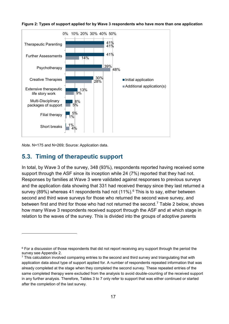

<span id="page-16-1"></span>**Figure 2: Types of support applied for by Wave 3 respondents who have more than one application** 

*Note.* N=175 and N=269; Source: Application data.

-

## <span id="page-16-0"></span>**5.3. Timing of therapeutic support**

In total, by Wave 3 of the survey, 348 (93%), respondents reported having received some support through the ASF since its inception while 24 (7%) reported that they had not. Responses by families at Wave 3 were validated against responses to previous surveys and the application data showing that 331 had received therapy since they last returned a survey (89%) whereas 41 respondents had not (11%). [6](#page-16-2) This is to say, either between second and third wave surveys for those who returned the second wave survey, and between first and third for those who had not returned the second. [7](#page-16-3) Table 2 below, shows how many Wave 3 respondents received support through the ASF and at which stage in relation to the waves of the survey. This is divided into the groups of adoptive parents

<span id="page-16-2"></span><sup>&</sup>lt;sup>6</sup> For a discussion of those respondents that did not report receiving any support through the period the survey see Appendix 2.

<span id="page-16-3"></span><sup>&</sup>lt;sup>7</sup> This calculation involved comparing entries to the second and third survey and triangulating that with application data about type of support applied for. A number of respondents repeated information that was already completed at the stage when they completed the second survey. These repeated entries of the same completed therapy were excluded from the analysis to avoid double-counting of the received support in any further analysis. Therefore, Tables 3 to 7 only refer to support that was either continued or started after the completion of the last survey.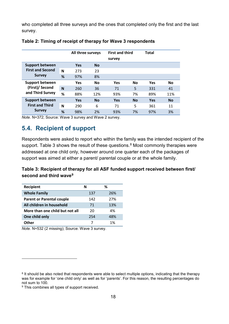who completed all three surveys and the ones that completed only the first and the last survey.

|                         |   | All three surveys |           | <b>First and third</b><br>survey |           | <b>Total</b> |           |
|-------------------------|---|-------------------|-----------|----------------------------------|-----------|--------------|-----------|
| <b>Support between</b>  |   | <b>Yes</b>        | <b>No</b> |                                  |           |              |           |
| <b>First and Second</b> | N | 273               | 23        |                                  |           |              |           |
| <b>Survey</b>           | % | 97%               | 8%        |                                  |           |              |           |
| <b>Support between</b>  |   | Yes               | <b>No</b> | <b>Yes</b>                       | <b>No</b> | Yes          | <b>No</b> |
| (First)/ Second         | N | 260               | 36        | 71                               | 5         | 331          | 41        |
| and Third Survey        | % | 88%               | 12%       | 93%                              | 7%        | 89%          | 11%       |
| <b>Support between</b>  |   | <b>Yes</b>        | <b>No</b> | <b>Yes</b>                       | <b>No</b> | Yes          | <b>No</b> |
| <b>First and Third</b>  | N | 290               | 6         | 71                               | 5         | 361          | 11        |
| <b>Survey</b>           | % | 98%               | 2%        | 93%                              | 7%        | 97%          | 3%        |

#### <span id="page-17-1"></span>**Table 2: Timing of receipt of therapy for Wave 3 respondents**

*Note*. N=372; Source: Wave 3 survey and Wave 2 survey.

## <span id="page-17-0"></span>**5.4. Recipient of support**

Respondents were asked to report who within the family was the intended recipient of the support. Table 3 shows the result of these questions.<sup>[8](#page-17-3)</sup> Most commonly therapies were addressed at one child only, however around one quarter each of the packages of support was aimed at either a parent/ parental couple or at the whole family.

#### <span id="page-17-2"></span>**Table 3: Recipient of therapy for all ASF funded support received between first/ second and third wave[9](#page-17-4)**

| Recipient                        | N   | ℅   |
|----------------------------------|-----|-----|
| <b>Whole Family</b>              | 137 | 26% |
| <b>Parent or Parental couple</b> | 142 | 27% |
| All children in household        | 71  | 13% |
| More than one child but not all  | 20  | 4%  |
| One child only                   | 254 | 48% |
| Other                            |     | 1%  |

*Note.* N=532 (2 missing); Source: Wave 3 survey.

-

<span id="page-17-3"></span><sup>&</sup>lt;sup>8</sup> It should be also noted that respondents were able to select multiple options, indicating that the therapy was for example for 'one child only' as well as for 'parents'. For this reason, the resulting percentages do not sum to 100.

<span id="page-17-4"></span><sup>&</sup>lt;sup>9</sup> This combines all types of support received.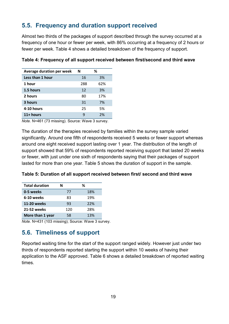# <span id="page-18-0"></span>**5.5. Frequency and duration support received**

Almost two thirds of the packages of support described through the survey occurred at a frequency of one hour or fewer per week, with 86% occurring at a frequency of 2 hours or fewer per week. Table 4 shows a detailed breakdown of the frequency of support.

| Average duration per week | N   | ℅   |
|---------------------------|-----|-----|
| Less than 1 hour          | 16  | 3%  |
| 1 hour                    | 288 | 62% |
| 1.5 hours                 | 12  | 3%  |
| 2 hours                   | 80  | 17% |
| 3 hours                   | 31  | 7%  |
| 4-10 hours                | 25  | 5%  |
| 11+ hours                 | q   | 2%  |
|                           |     |     |

#### <span id="page-18-2"></span>**Table 4: Frequency of all support received between first/second and third wave**

*Note.* N=461 (73 missing). Source: Wave 3 survey.

The duration of the therapies received by families within the survey sample varied significantly. Around one fifth of respondents received 5 weeks or fewer support whereas around one eight received support lasting over 1 year. The distribution of the length of support showed that 59% of respondents reported receiving support that lasted 20 weeks or fewer, with just under one sixth of respondents saying that their packages of support lasted for more than one year. Table 5 shows the duration of support in the sample.

<span id="page-18-3"></span>

| Table 5: Duration of all support received between first/ second and third wave |  |  |
|--------------------------------------------------------------------------------|--|--|
|--------------------------------------------------------------------------------|--|--|

| <b>Total duration</b> | N   | ℅   |
|-----------------------|-----|-----|
| 0-5 weeks             | 77  | 18% |
| 6-10 weeks            | 83  | 19% |
| 11-20 weeks           | 93  | 22% |
| 21-52 weeks           | 120 | 28% |
| More than 1 year      | 58  | 13% |

*Note.* N=431 (103 missing); Source: Wave 3 survey.

# <span id="page-18-1"></span>**5.6. Timeliness of support**

Reported waiting time for the start of the support ranged widely. However just under two thirds of respondents reported starting the support within 10 weeks of having their application to the ASF approved. Table 6 shows a detailed breakdown of reported waiting times.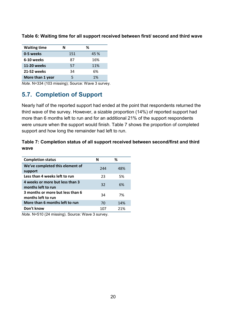| <b>Waiting time</b> | N   | ℅    |
|---------------------|-----|------|
| 0-5 weeks           | 151 | 45 % |
| 6-10 weeks          | 87  | 16%  |
| 11-20 weeks         | 57  | 11%  |
| 21-52 weeks         | 34  | 6%   |
| More than 1 year    | 5   | 1%   |

<span id="page-19-1"></span>**Table 6: Waiting time for all support received between first/ second and third wave**

*Note.* N=334 (103 missing); Source: Wave 3 survey.

# <span id="page-19-0"></span>**5.7. Completion of Support**

Nearly half of the reported support had ended at the point that respondents returned the third wave of the survey. However, a sizable proportion (14%) of reported support had more than 6 months left to run and for an additional 21% of the support respondents were unsure when the support would finish. Table 7 shows the proportion of completed support and how long the remainder had left to run.

#### <span id="page-19-2"></span>**Table 7: Completion status of all support received between second/first and third wave**

| <b>Completion status</b>                               | N   | ℅   |
|--------------------------------------------------------|-----|-----|
| We've completed this element of<br>support             | 244 | 48% |
| Less than 4 weeks left to run                          | 23  | .5% |
| 4 weeks or more but less than 3<br>months left to run  | 32  | 6%  |
| 3 months or more but less than 6<br>months left to run | 34  | 7%  |
| More than 6 months left to run                         | 70  | 14% |
| Don't know                                             | 107 | 21% |

*Note.* N=510 (24 missing). Source: Wave 3 survey.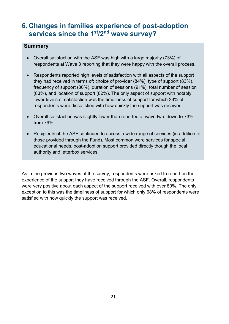# <span id="page-20-0"></span>**6. Changes in families experience of post-adoption services since the 1st/2nd wave survey?**

#### **Summary**

- Overall satisfaction with the ASF was high with a large majority (73%) of respondents at Wave 3 reporting that they were happy with the overall process.
- Respondents reported high levels of satisfaction with all aspects of the support they had received in terms of: choice of provider (84%), type of support (83%), frequency of support (86%), duration of sessions (91%), total number of session (83%), and location of support (82%). The only aspect of support with notably lower levels of satisfaction was the timeliness of support for which 23% of respondents were dissatisfied with how quickly the support was received.
- Overall satisfaction was slightly lower than reported at wave two: down to 73% from 79%.
- Recipients of the ASF continued to access a wide range of services (in addition to those provided through the Fund). Most common were services for special educational needs, post-adoption support provided directly though the local authority and letterbox services.

As in the previous two waves of the survey, respondents were asked to report on their experience of the support they have received through the ASF. Overall, respondents were very positive about each aspect of the support received with over 80%. The only exception to this was the timeliness of support for which only 68% of respondents were satisfied with how quickly the support was received.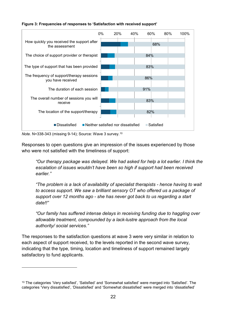#### <span id="page-21-0"></span>**Figure 3: Frequencies of responses to 'Satisfaction with received support'**



*Note.* N=338-343 (missing 9-14); Source: Wave 3 survey.[10](#page-21-1)

-

Responses to open questions give an impression of the issues experienced by those who were not satisfied with the timeliness of support:

*"Our therapy package was delayed. We had asked for help a lot earlier. I think the escalation of issues wouldn't have been so high if support had been received earlier."* 

*"The problem is a lack of availability of specialist therapists - hence having to wait to access support. We saw a brilliant sensory OT who offered us a package of support over 12 months ago - she has never got back to us regarding a start date!!"*

*"Our family has suffered intense delays in receiving funding due to haggling over allowable treatment, compounded by a lack-lustre approach from the local authority/ social services."*

The responses to the satisfaction questions at wave 3 were very similar in relation to each aspect of support received, to the levels reported in the second wave survey, indicating that the type, timing, location and timeliness of support remained largely satisfactory to fund applicants.

<span id="page-21-1"></span><sup>10</sup> The categories 'Very satisfied', 'Satisfied' and 'Somewhat satisfied' were merged into 'Satisfied'. The categories 'Very dissatisfied', 'Dissatisfied' and 'Somewhat dissatisfied' were merged into 'dissatisfied'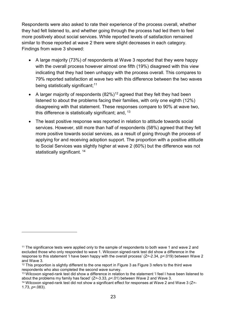Respondents were also asked to rate their experience of the process overall, whether they had felt listened to, and whether going through the process had led them to feel more positively about social services. While reported levels of satisfaction remained similar to those reported at wave 2 there were slight decreases in each category. Findings from wave 3 showed:

- A large majority (73%) of respondents at Wave 3 reported that they were happy with the overall process however almost one fifth (19%) disagreed with this view indicating that they had been unhappy with the process overall. This compares to 79% reported satisfaction at wave two with this difference between the two waves being statistically significant; [11](#page-22-0)
- A larger majority of respondents  $(82\%)$ <sup>[12](#page-22-1)</sup> agreed that they felt they had been listened to about the problems facing their families, with only one eighth (12%) disagreeing with that statement. These responses compare to 90% at wave two, this difference is statistically significant; and, <sup>[13](#page-22-2)</sup>
- The least positive response was reported in relation to attitude towards social services. However, still more than half of respondents (58%) agreed that they felt more positive towards social services, as a result of going through the process of applying for and receiving adoption support. The proportion with a positive attitude to Social Services was slightly higher at wave 2 (60%) but the difference was not statistically significant.<sup>[14](#page-22-3)</sup>

<u>.</u>

<span id="page-22-0"></span><sup>&</sup>lt;sup>11</sup> The significance tests were applied only to the sample of respondents to both wave 1 and wave 2 and excluded those who only responded to wave 1. Wilcoxon signed-rank test did show a difference in the response to this statement 'I have been happy with the overall process' (Z=-2.34, p=.019) between Wave 2 and Wave 3.

<span id="page-22-1"></span><sup>&</sup>lt;sup>12</sup> This proportion is slightly different to the one report in Figure 3 as Figure 3 refers to the third wave respondents who also completed the second wave survey.

<span id="page-22-2"></span><sup>&</sup>lt;sup>13</sup> Wilcoxon signed-rank test did show a difference in relation to the statement 'I feel I have been listened to about the problems my family has faced' (Z=-3.33, *p*<.01) between Wave 2 and Wave 3.

<span id="page-22-3"></span><sup>14</sup> Wilcoxon signed-rank test did not show a significant effect for responses at Wave 2 and Wave 3 (Z=- 1.73, *p*=.083).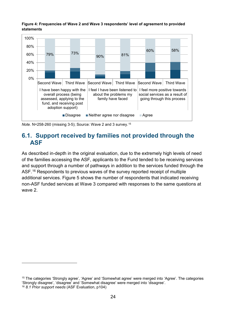<span id="page-23-1"></span>**Figure 4: Frequencies of Wave 2 and Wave 3 respondents' level of agreement to provided statements**



<span id="page-23-0"></span>*Note.* N=258-260 (missing 3-5); Source: Wave 2 and 3 survey.[15](#page-23-2)

<u>.</u>

## **6.1. Support received by families not provided through the ASF**

As described in-depth in the original evaluation, due to the extremely high levels of need of the families accessing the ASF, applicants to the Fund tended to be receiving services and support through a number of pathways in addition to the services funded through the ASF.<sup>[16](#page-23-3)</sup> Respondents to previous waves of the survey reported receipt of multiple additional services. Figure 5 shows the number of respondents that indicated receiving non-ASF funded services at Wave 3 compared with responses to the same questions at wave 2.

<span id="page-23-3"></span><span id="page-23-2"></span><sup>15</sup> The categories 'Strongly agree', 'Agree' and 'Somewhat agree' were merged into 'Agree'. The categories 'Strongly disagree', 'disagree' and 'Somewhat disagree' were merged into 'disagree'. <sup>16</sup> *8.1 Prior support needs* (ASF Evaluation, p104)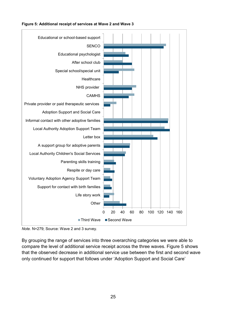<span id="page-24-0"></span>





By grouping the range of services into three overarching categories we were able to compare the level of additional service receipt across the three waves. Figure 5 shows that the observed decrease in additional service use between the first and second wave only continued for support that follows under 'Adoption Support and Social Care'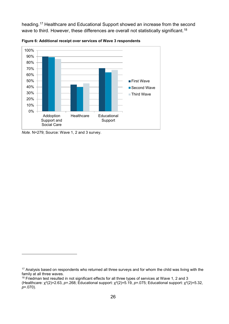heading. [17](#page-25-1) Healthcare and Educational Support showed an increase from the second wave to third. However, these differences are overall not statistically significant.<sup>[18](#page-25-2)</sup>



<span id="page-25-0"></span>**Figure 6: Additional receipt over services of Wave 3 respondents** 

*Note.* N=279; Source: Wave 1, 2 and 3 survey.

-

<span id="page-25-2"></span><sup>18</sup> Friedman test resulted in not significant effects for all three types of services at Wave 1, 2 and 3

<span id="page-25-1"></span><sup>&</sup>lt;sup>17</sup> Analysis based on respondents who returned all three surveys and for whom the child was living with the family at all three waves.

<sup>(</sup>Healthcare: χ2(2)=2.63, *p*=.268; Educational support: χ2(2)=5.19, *p*=.075; Educational support: χ2(2)=5.32, *p*=.070).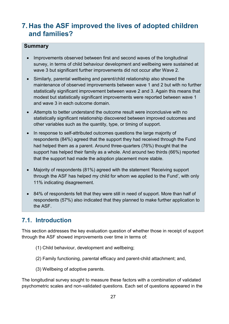# <span id="page-26-0"></span>**7. Has the ASF improved the lives of adopted children and families?**

#### **Summary**

- Improvements observed between first and second waves of the longitudinal survey, in terms of child behaviour development and wellbeing were sustained at wave 3 but significant further improvements did not occur after Wave 2.
- Similarly, parental wellbeing and parent/child relationship also showed the maintenance of observed improvements between wave 1 and 2 but with no further statistically significant improvement between wave 2 and 3. Again this means that modest but statistically significant improvements were reported between wave 1 and wave 3 in each outcome domain.
- Attempts to better understand the outcome result were inconclusive with no statistically significant relationship discovered between improved outcomes and other variables such as the quantity, type, or timing of support.
- In response to self-attributed outcomes questions the large majority of respondents (84%) agreed that the support they had received through the Fund had helped them as a parent. Around three-quarters (76%) thought that the support has helped their family as a whole. And around two thirds (66%) reported that the support had made the adoption placement more stable.
- Majority of respondents (81%) agreed with the statement 'Receiving support through the ASF has helped my child for whom we applied to the Fund', with only 11% indicating disagreement.
- 84% of respondents felt that they were still in need of support. More than half of respondents (57%) also indicated that they planned to make further application to the ASF.

## <span id="page-26-1"></span>**7.1. Introduction**

This section addresses the key evaluation question of whether those in receipt of support through the ASF showed improvements over time in terms of:

- (1) Child behaviour, development and wellbeing;
- (2) Family functioning, parental efficacy and parent-child attachment; and,
- (3) Wellbeing of adoptive parents.

The longitudinal survey sought to measure these factors with a combination of validated psychometric scales and non-validated questions. Each set of questions appeared in the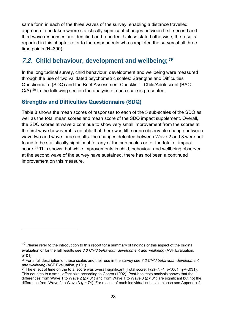same form in each of the three waves of the survey, enabling a distance travelled approach to be taken where statistically significant changes between first, second and third wave responses are identified and reported. Unless stated otherwise, the results reported in this chapter refer to the respondents who completed the survey at all three time points (N=300).

# <span id="page-27-0"></span>**7.2. Child behaviour, development and wellbeing;[19](#page-27-1)**

In the longitudinal survey, child behaviour, development and wellbeing were measured through the use of two validated psychometric scales: Strengths and Difficulties Questionnaire (SDQ) and the Brief Assessment Checklist – Child/Adolescent (BAC-C/A).<sup>[20](#page-27-2)</sup> In the following section the analysis of each scale is presented.

#### **Strengths and Difficulties Questionnaire (SDQ)**

-

Table 8 shows the mean scores of responses to each of the 5 sub-scales of the SDQ as well as the total mean scores and mean score of the SDQ impact supplement. Overall, the SDQ scores at wave 3 continue to show very small improvement from the scores at the first wave however it is notable that there was little or no observable change between wave two and wave three results: the changes detected between Wave 2 and 3 were not found to be statistically significant for any of the sub-scales or for the total or impact score.<sup>[21](#page-27-3)</sup> This shows that while improvements in child, behaviour and wellbeing observed at the second wave of the survey have sustained, there has not been a continued improvement on this measure.

<span id="page-27-1"></span> $19$  Please refer to the introduction to this report for a summary of findings of this aspect of the original evaluation or for the full results see *8.3 Child behaviour, development and wellbeing* (ASF Evaluation, p101).

<span id="page-27-2"></span><sup>20</sup> For a full description of these scales and their use in the survey see *8.3 Child behaviour, development and wellbeing* (ASF Evaluation, p101).

<span id="page-27-3"></span><sup>&</sup>lt;sup>21</sup> The effect of time on the total score was overall significant (Total score: F(2)=7.74, *p*<.001,  $\eta_{\rm p}$ <sup>2</sup>=.031). This equates to a small effect size according to Cohen (1992). Post-hoc tests analysis shows that the differences from Wave 1 to Wave 2 (*p*<.01) and from Wave 1 to Wave 3 (*p*<.01) are significant but not the difference from Wave 2 to Wave 3 (*p*=.74). For results of each individual subscale please see Appendix 2.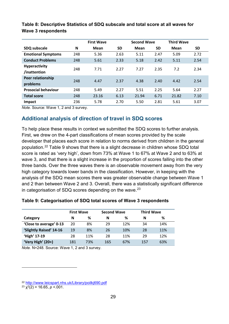|                                      | <b>Second Wave</b><br><b>First Wave</b> |       |           | <b>Third Wave</b> |           |       |           |
|--------------------------------------|-----------------------------------------|-------|-----------|-------------------|-----------|-------|-----------|
| SDQ subscale                         | N                                       | Mean  | <b>SD</b> | Mean              | <b>SD</b> | Mean  | <b>SD</b> |
| <b>Emotional Symptoms</b>            | 248                                     | 5.36  | 2.63      | 5.11              | 2.47      | 5.09  | 2.72      |
| <b>Conduct Problems</b>              | 248                                     | 5.61  | 2.33      | 5.18              | 2.42      | 5.11  | 2.54      |
| <b>Hyperactivity</b><br>/inattention | 248                                     | 7.71  | 2.27      | 7.27              | 2.35      | 7.2   | 2.34      |
| Peer relationship<br>problems        | 248                                     | 4.47  | 2.37      | 4.38              | 2.40      | 4.42  | 2.54      |
| <b>Prosocial behaviour</b>           | 248                                     | 5.49  | 2.27      | 5.51              | 2.25      | 5.64  | 2.27      |
| <b>Total score</b>                   | 248                                     | 23.16 | 6.13      | 21.94             | 6.71      | 21.82 | 7.10      |
| Impact                               | 236                                     | 5.78  | 2.70      | 5.50              | 2.81      | 5.61  | 3.07      |

#### <span id="page-28-0"></span>**Table 8: Descriptive Statistics of SDQ subscale and total score at all waves for Wave 3 respondents**

*Note.* Source: Wave 1, 2 and 3 survey.

#### **Additional analysis of direction of travel in SDQ scores**

To help place these results in context we submitted the SDQ scores to further analysis. First, we drew on the 4-part classifications of mean scores provided by the scale developer that places each score in relation to norms derived from children in the general population. [22](#page-28-2) Table 9 shows that there is a slight decrease in children whose SDQ total score is rated as 'very high', down from 73% at Wave 1 to 67% at Wave 2 and to 63% at wave 3, and that there is a slight increase in the proportion of scores falling into the other three bands. Over the three waves there is an observable movement away from the very high category towards lower bands in the classification. However, in keeping with the analysis of the SDQ mean scores there was greater observable change between Wave 1 and 2 than between Wave 2 and 3. Overall, there was a statistically significant difference in categorisation of SDQ scores depending on the wave. [23](#page-28-3) 

#### <span id="page-28-1"></span>**Table 9: Categorisation of SDQ total scores of Wave 3 respondents**

|                         | <b>First Wave</b> |     | <b>Second Wave</b> |     | <b>Third Wave</b> |     |
|-------------------------|-------------------|-----|--------------------|-----|-------------------|-----|
| Category                | N                 | %   | N                  | %   | N                 | ℅   |
| 'Close to average' 0-13 | 20                | 8%  | 29                 | 12% | 34                | 14% |
| 'Slightly Raised' 14-16 | 19                | 8%  | 26                 | 10% | 28                | 11% |
| 'High' 17-19            | 28                | 11% | 28                 | 11% | 29                | 12% |
| 'Very High' (20+)       | 181               | 73% | 165                | 67% | 157               | 63% |

*Note.* N=248. Source: Wave 1, 2 and 3 survey.

-

<span id="page-28-3"></span><span id="page-28-2"></span><sup>22</sup> <http://www.leicspart.nhs.uk/Library/poilkj690.pdf>23 <sup>χ</sup>2(2) = 16.65, *<sup>p</sup>* <.001.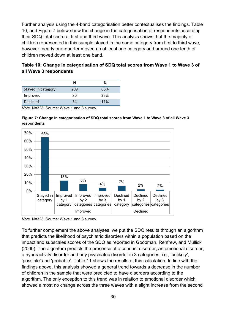Further analysis using the 4-band categorisation better contextualises the findings. Table 10, and Figure 7 below show the change in the categorisation of respondents according their SDQ total score at first and third wave. This analysis shows that the majority of children represented in this sample stayed in the same category from first to third wave, however, nearly one-quarter moved up at least one category and around one tenth of children moved down at least one band.

#### <span id="page-29-1"></span>**Table 10: Change in categorisation of SDQ total scores from Wave 1 to Wave 3 of all Wave 3 respondents**

|                    | N   | %   |
|--------------------|-----|-----|
| Stayed in category | 209 | 65% |
| Improved           | 80  | 25% |
| <b>Declined</b>    | 34  | 11% |

*Note.* N=323; Source: Wave 1 and 3 survey.

#### <span id="page-29-0"></span>**Figure 7: Change in categorisation of SDQ total scores from Wave 1 to Wave 3 of all Wave 3 respondents**



*Note.* N=323; Source: Wave 1 and 3 survey.

To further complement the above analyses, we put the SDQ results through an algorithm that predicts the likelihood of psychiatric disorders within a population based on the impact and subscales scores of the SDQ as reported in Goodman, Renfrew, and Mullick (2000). The algorithm predicts the presence of a conduct disorder, an emotional disorder, a hyperactivity disorder and any psychiatric disorder in 3 categories, i.e., 'unlikely', 'possible' and 'probable'. Table 11 shows the results of this calculation. In line with the findings above, this analysis showed a general trend towards a decrease in the number of children in the sample that were predicted to have disorders according to the algorithm. The only exception to this trend was in relation to emotional disorder which showed almost no change across the three waves with a slight increase from the second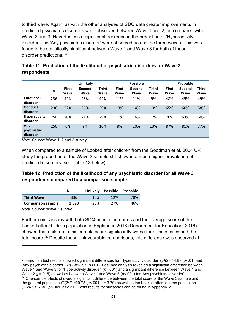to third wave. Again, as with the other analyses of SDQ data greater improvements in predicted psychiatric disorders were observed between Wave 1 and 2, as compared with Wave 2 and 3. Nevertheless a significant decrease in the prediction of 'Hyperactivity disorder' and 'Any psychiatric disorder' were observed across the three waves. This was found to be statistically significant between Wave 1 and Wave 3 for both of these disorder predictions.[24](#page-30-2)

|                                  |     | <b>Unlikely</b> |                |                      |                             | <b>Possible</b> |                      |                      | Probable              |                      |  |
|----------------------------------|-----|-----------------|----------------|----------------------|-----------------------------|-----------------|----------------------|----------------------|-----------------------|----------------------|--|
|                                  | N   | First<br>Wave   | Second<br>Wave | <b>Third</b><br>Wave | <b>First</b><br><b>Wave</b> | Second<br>Wave  | <b>Third</b><br>Wave | <b>First</b><br>Wave | <b>Second</b><br>Wave | <b>Third</b><br>Wave |  |
| <b>Emotional</b><br>disorder     | 236 | 42%             | 43%            | 42%                  | 11%                         | 11%             | 9%                   | 48%                  | 45%                   | 49%                  |  |
| <b>Conduct</b><br>disorder       | 236 | 22%             | 26%            | 29%                  | 13%                         | 14%             | 13%                  | 65%                  | 60%                   | 58%                  |  |
| <b>Hyperactivity</b><br>disorder | 250 | 20%             | 21%            | 29%                  | 10%                         | 16%             | 12%                  | 70%                  | 63%                   | 60%                  |  |
| Any<br>psychiatric<br>disorder   | 250 | 6%              | 9%             | 10%                  | 8%                          | 10%             | 13%                  | 87%                  | 81%                   | 77%                  |  |

#### <span id="page-30-0"></span>**Table 11: Prediction of the likelihood of psychiatric disorders for Wave 3 respondents**

*Note.* Source: Wave 1, 2 and 3 survey.

When compared to a sample of Looked after children from the Goodman et al. 2004 UK study the proportion of the Wave 3 sample still showed a much higher prevalence of predicted disorders (see Table 12 below).

#### <span id="page-30-1"></span>**Table 12: Prediction of the likelihood of any psychiatric disorder for all Wave 3 respondents compared to a comparison sample**

|                          | N     | <b>Unlikely</b> |     | Possible Probable |
|--------------------------|-------|-----------------|-----|-------------------|
| <b>Third Wave</b>        | 336   | 10%             | 12% | 78%               |
| <b>Comparison sample</b> | 1.028 | 28%             | 27% | 46%               |

*Note.* Source: Wave 3 survey.

-

Further comparisons with both SDQ population norms and the average score of the Looked after children population in England in 2016 (Department for Education, 2016) showed that children in this sample score significantly worse for all subscales and the total score.[25](#page-30-3) Despite these unfavourable comparisons, this difference was observed at

<span id="page-30-3"></span><span id="page-30-2"></span><sup>&</sup>lt;sup>24</sup> Friedman test results showed significant differences for 'Hyperactivity disorder' (χ<sup>2</sup>(2)=14.87, *p*<.01) and 'Any psychiatric disorder' (χ<sup>2</sup>(2)=12.97, *p*<.01). Post-hoc analysis revealed a significant difference between Wave 1 and Wave 3 for 'Hyperactivity disorder' ( $p$ =.001) and a significant difference between Wave 1 and Wave 2 (*p*=.015) as well as between Wave 1 and Wave 3 (*p*<.001) for 'Any psychiatric disorder'. <sup>25</sup> One-sample t-tests showed a significant difference between the total score of the Wave 3 sample and the general population (T(247)=29.78, *p*<.001, d= 3.79) as well as the Looked after children population (T(247)=17.36, *p*<.001, d=2.21). Tests results for subscales can be found in Appendix 2.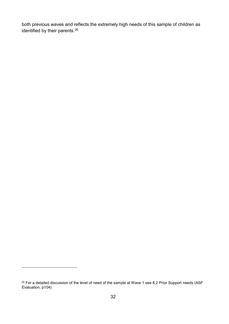both previous waves and reflects the extremely high needs of this sample of children as identified by their parents. [26](#page-31-0)

-

<span id="page-31-0"></span><sup>&</sup>lt;sup>26</sup> For a detailed discussion of the level of need of the sample at Wave 1 see 8.2 Prior Support needs (ASF Evaluation, p104)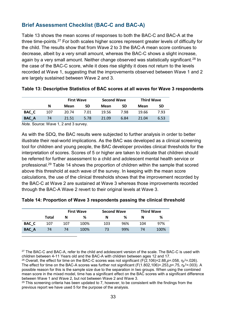## **Brief Assessment Checklist (BAC-C and BAC-A)**

Table 13 shows the mean scores of responses to both the BAC-C and BAC-A at the three time-points. [27](#page-32-2) For both scales higher scores represent greater levels of difficulty for the child. The results show that from Wave 2 to 3 the BAC-A mean score continues to decrease, albeit by a very small amount, whereas the BAC-C shows a slight increase, again by a very small amount. Neither change observed was statistically significant.<sup>[28](#page-32-3)</sup> In the case of the BAC-C score, while it does rise slightly it does not return to the levels recorded at Wave 1, suggesting that the improvements observed between Wave 1 and 2 are largely sustained between Wave 2 and 3.

|              |     | <b>First Wave</b> |      | <b>Second Wave</b> |      | <b>Third Wave</b> |      |  |
|--------------|-----|-------------------|------|--------------------|------|-------------------|------|--|
|              | N   | Mean              | SD   | Mean               | SD   | Mean              | SD   |  |
| BAC C        | 107 | 20.74             | 7.01 | 19.56              | 7.98 | 19.66             | 7.93 |  |
| <b>BAC A</b> | 74  | 21.51             | 5.78 | 21.09              | 6.84 | 21.04             | 6.53 |  |

<span id="page-32-0"></span>

|  |  |  | Table 13: Descriptive Statistics of BAC scores at all waves for Wave 3 respondents |
|--|--|--|------------------------------------------------------------------------------------|
|--|--|--|------------------------------------------------------------------------------------|

*Note.* Source: Wave 1, 2 and 3 survey.

<u>.</u>

As with the SDQ, the BAC results were subjected to further analysis in order to better illustrate their real-world implications. As the BAC was developed as a clinical screening tool for children and young people, the BAC developer provides clinical thresholds for the interpretation of scores. Scores of 5 or higher are taken to indicate that children should be referred for further assessment to a child and adolescent mental health service or professional.[29](#page-32-4) Table 14 shows the proportion of children within the sample that scored above this threshold at each wave of the survey. In keeping with the mean score calculations, the use of the clinical thresholds shows that the improvement recorded by the BAC-C at Wave 2 are sustained at Wave 3 whereas those improvements recorded through the BAC-A Wave 2 revert to their original levels at Wave 3.

<span id="page-32-1"></span>

|  | Table 14: Proportion of Wave 3 respondents passing the clinical threshold |  |  |  |  |  |
|--|---------------------------------------------------------------------------|--|--|--|--|--|
|--|---------------------------------------------------------------------------|--|--|--|--|--|

|              |       | <b>First Wave</b> |      | <b>Second Wave</b> |     | <b>Third Wave</b> |      |  |
|--------------|-------|-------------------|------|--------------------|-----|-------------------|------|--|
|              | Total | N                 | %    | N                  | %   | N                 | %    |  |
| BAC C        | 107   | 107               | 100% | 103                | 96% | 104               | 97%  |  |
| <b>BAC A</b> | 74    | 74                | 100% | 73                 | 99% | 74                | 100% |  |

<span id="page-32-2"></span><sup>27</sup> The BAC-C and BAC-A, refer to the child and adolescent version of the scale. The BAC-C is used with children between 4-11 Years old and the BAC-A with children between ages 12 and 17.

<span id="page-32-3"></span><sup>28</sup> Overall, the effect for time on the BAC-C scores was not significant (F(2,106)=2.88, $p$ =.058, η $p^2$ =.026). The effect for time on the BAC-A scores was further not significant (F(1.802,106)=.253,*p*=.75,  $\eta_P^2$ =.003). A possible reason for this is the sample size due to the separation in two groups. When using the combined mean score in the mixed model, time has a significant effect on the BAC scores with a significant difference between Wave 1 and Wave 2, but not between Wave 2 and Wave 3.

<span id="page-32-4"></span> $29$  This screening criteria has been updated to 7, however, to be consistent with the findings from the previous report we have used 5 for the purpose of the analysis.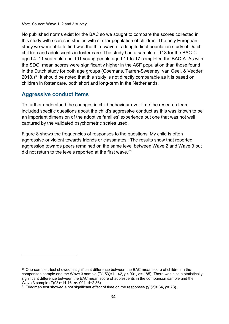*Note.* Source: Wave 1, 2 and 3 survey.

No published norms exist for the BAC so we sought to compare the scores collected in this study with scores in studies with similar population of children. The only European study we were able to find was the third wave of a longitudinal population study of Dutch children and adolescents in foster care. The study had a sample of 118 for the BAC-C aged 4–11 years old and 101 young people aged 11 to 17 completed the BAC-A. As with the SDQ, mean scores were significantly higher in the ASF population than those found in the Dutch study for both age groups (Goemans, Tarren-Sweeney, van Geel, & Vedder,  $2018$ .)<sup>[30](#page-33-0)</sup> It should be noted that this study is not directly comparable as it is based on children in foster care, both short and long-term in the Netherlands.

#### **Aggressive conduct items**

-

To further understand the changes in child behaviour over time the research team included specific questions about the child's aggressive conduct as this was known to be an important dimension of the adoptive families' experience but one that was not well captured by the validated psychometric scales used.

Figure 8 shows the frequencies of responses to the questions 'My child is often aggressive or violent towards friends or classmates': The results show that reported aggression towards peers remained on the same level between Wave 2 and Wave 3 but did not return to the levels reported at the first wave.<sup>[31](#page-33-1)</sup>

<span id="page-33-0"></span><sup>&</sup>lt;sup>30</sup> One-sample t-test showed a significant difference between the BAC mean score of children in the comparison sample and the Wave 3 sample (T(153)=11.42, *p*<.001, d=1.85). There was also a statistically significant difference between the BAC mean score of adolescents in the comparison sample and the Wave 3 sample (T(98)=14.16, *p*<.001, d=2.86).

<span id="page-33-1"></span><sup>&</sup>lt;sup>31</sup> Friedman test showed a not significant effect of time on the responses (χ<sup>2</sup>(2)=.64, *p*=.73).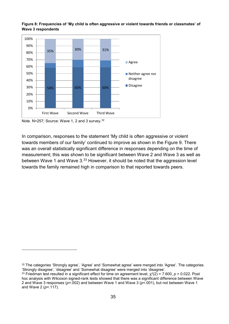

<span id="page-34-0"></span>**Figure 8: Frequencies of 'My child is often aggressive or violent towards friends or classmates' of Wave 3 respondents**

-

In comparison, responses to the statement 'My child is often aggressive or violent towards members of our family' continued to improve as shown in the Figure 9. There was an overall statistically significant difference in responses depending on the time of measurement; this was shown to be significant between Wave 2 and Wave 3 as well as between Wave 1 and Wave 3.<sup>[33](#page-34-2)</sup> However, it should be noted that the aggression level towards the family remained high in comparison to that reported towards peers.

Note. N=257; Source: Wave 1, 2 and 3 survey.<sup>[32](#page-34-1)</sup>

<span id="page-34-1"></span><sup>32</sup> The categories 'Strongly agree', 'Agree' and 'Somewhat agree' were merged into 'Agree'. The categories 'Strongly disagree', 'disagree' and 'Somewhat disagree' were merged into 'disagree'.

<span id="page-34-2"></span><sup>&</sup>lt;sup>33</sup> Friedman test resulted in a significant effect for time on agreement level,  $\chi^2(2) = 7.600$ ,  $p = 0.022$ . Post hoc analysis with Wilcoxon signed-rank tests showed that there was a significant difference between Wave 2 and Wave 3 responses (*p*=.002) and between Wave 1 and Wave 3 (*p*<.001), but not between Wave 1 and Wave 2 (*p*=.117).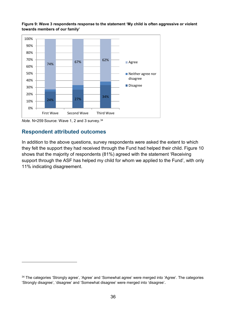

<span id="page-35-0"></span>**Figure 9: Wave 3 respondents response to the statement 'My child is often aggressive or violent towards members of our family'**

#### **Respondent attributed outcomes**

<u>.</u>

In addition to the above questions, survey respondents were asked the extent to which they felt the support they had received through the Fund had helped their child. Figure 10 shows that the majority of respondents (81%) agreed with the statement 'Receiving support through the ASF has helped my child for whom we applied to the Fund', with only 11% indicating disagreement.

*Note.* N=259 Source: Wave 1, 2 and 3 survey.[34](#page-35-1)

<span id="page-35-1"></span><sup>34</sup> The categories 'Strongly agree', 'Agree' and 'Somewhat agree' were merged into 'Agree'. The categories 'Strongly disagree', 'disagree' and 'Somewhat disagree' were merged into 'disagree'.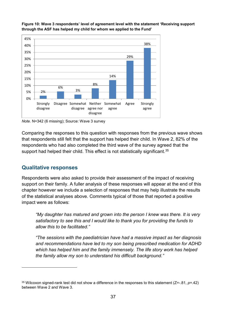

<span id="page-36-0"></span>**Figure 10: Wave 3 respondents' level of agreement level with the statement 'Receiving support through the ASF has helped my child for whom we applied to the Fund'** 

*Note.* N=342 (6 missing); Source: Wave 3 survey

Comparing the responses to this question with responses from the previous wave shows that respondents still felt that the support has helped their child. In Wave 2, 82% of the respondents who had also completed the third wave of the survey agreed that the support had helped their child. This effect is not statistically significant.<sup>[35](#page-36-1)</sup>

#### **Qualitative responses**

-

Respondents were also asked to provide their assessment of the impact of receiving support on their family. A fuller analysis of these responses will appear at the end of this chapter however we include a selection of responses that may help illustrate the results of the statistical analyses above. Comments typical of those that reported a positive impact were as follows:

*"My daughter has matured and grown into the person I knew was there. It is very satisfactory to see this and I would like to thank you for providing the funds to allow this to be facilitated."*

*"The sessions with the paediatrician have had a massive impact as her diagnosis and recommendations have led to my son being prescribed medication for ADHD which has helped him and the family immensely. The life story work has helped the family allow my son to understand his difficult background."* 

<span id="page-36-1"></span><sup>35</sup> Wilcoxon signed-rank test did not show a difference in the responses to this statement (Z=-.81, *p*=.42) between Wave 2 and Wave 3.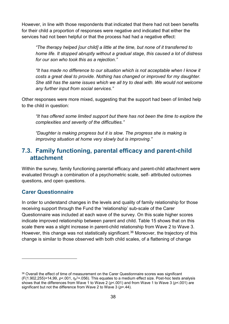However, in line with those respondents that indicated that there had not been benefits for their child a proportion of responses were negative and indicated that either the services had not been helpful or that the process had had a negative effect:

*"The therapy helped [our child] a little at the time, but none of it transferred to home life. It stopped abruptly without a gradual stage, this caused a lot of distress for our son who took this as a rejection."* 

*"It has made no difference to our situation which is not acceptable when I know it costs a great deal to provide. Nothing has changed or improved for my daughter. She still has the same issues which we all try to deal with. We would not welcome any further input from social services."* 

Other responses were more mixed, suggesting that the support had been of limited help to the child in question:

*"It has offered some limited support but there has not been the time to explore the complexities and severity of the difficulties."* 

*"Daughter is making progress but it is slow. The progress she is making is improving situation at home very slowly but is improving."* 

# <span id="page-37-0"></span>**7.3. Family functioning, parental efficacy and parent-child attachment**

Within the survey, family functioning parental efficacy and parent-child attachment were evaluated through a combination of a psychometric scale, self- attributed outcomes questions, and open questions.

#### **Carer Questionnaire**

-

In order to understand changes in the levels and quality of family relationship for those receiving support through the Fund the 'relationship' sub-scale of the Carer Questionnaire was included at each wave of the survey. On this scale higher scores indicate improved relationship between parent and child. Table 15 shows that on this scale there was a slight increase in parent-child relationship from Wave 2 to Wave 3. However, this change was not statistically significant.<sup>[36](#page-37-1)</sup> Moreover, the trajectory of this change is similar to those observed with both child scales, of a flattening of change

<span id="page-37-1"></span><sup>&</sup>lt;sup>36</sup> Overall the effect of time of measurement on the Carer Questionnaire scores was significant (F(1.902,255)=14,99, *p*<.001, η<sup>p</sup> 2=.056). This equates to a medium effect size. Post-hoc tests analysis shows that the differences from Wave 1 to Wave 2 (*p*<.001) and from Wave 1 to Wave 3 (*p*<.001) are significant but not the difference from Wave 2 to Wave 3 (*p*=.44).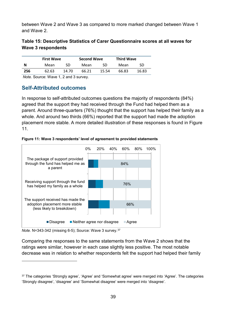between Wave 2 and Wave 3 as compared to more marked changed between Wave 1 and Wave 2.

#### <span id="page-38-1"></span>**Table 15: Descriptive Statistics of Carer Questionnaire scores at all waves for Wave 3 respondents**

|     | <b>First Wave</b> |       | <b>Second Wave</b> |       | <b>Third Wave</b> |       |  |
|-----|-------------------|-------|--------------------|-------|-------------------|-------|--|
| N   | Mean              | SD    | Mean               | SD    | Mean              | SD    |  |
| 256 | 62.63             | 14.70 | 66.21              | 15.54 | 66.83             | 16.83 |  |

*Note.* Source: Wave 1, 2 and 3 survey.

#### **Self-Attributed outcomes**

In response to self-attributed outcomes questions the majority of respondents (84%) agreed that the support they had received through the Fund had helped them as a parent. Around three-quarters (76%) thought that the support has helped their family as a whole. And around two thirds (66%) reported that the support had made the adoption placement more stable. A more detailed illustration of these responses is found in Figure 11.

<span id="page-38-0"></span>



*Note.* N=343-342 (missing 6-5); Source: Wave 3 survey.[37](#page-38-2)

-

Comparing the responses to the same statements from the Wave 2 shows that the ratings were similar, however in each case slightly less positive. The most notable decrease was in relation to whether respondents felt the support had helped their family

<span id="page-38-2"></span><sup>37</sup> The categories 'Strongly agree', 'Agree' and 'Somewhat agree' were merged into 'Agree'. The categories 'Strongly disagree', 'disagree' and 'Somewhat disagree' were merged into 'disagree'.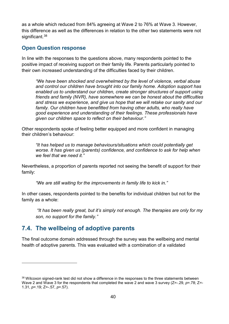as a whole which reduced from 84% agreeing at Wave 2 to 76% at Wave 3. However, this difference as well as the differences in relation to the other two statements were not significant.<sup>[38](#page-39-1)</sup>

#### **Open Question response**

In line with the responses to the questions above, many respondents pointed to the positive impact of receiving support on their family life. Parents particularly pointed to their own increased understanding of the difficulties faced by their children.

*"We have been shocked and overwhelmed by the level of violence, verbal abuse and control our children have brought into our family home. Adoption support has enabled us to understand our children, create stronger structures of support using friends and family (NVR), have somewhere we can be honest about the difficulties and stress we experience, and give us hope that we will retake our sanity and our*  family. Our children have benefitted from having other adults, who really have *good experience and understanding of their feelings. These professionals have given our children space to reflect on their behaviour."*

Other respondents spoke of feeling better equipped and more confident in managing their children's behaviour:

*"It has helped us to manage behaviours/situations which could potentially get worse. It has given us (parents) confidence, and confidence to ask for help when we feel that we need it."*

Nevertheless, a proportion of parents reported not seeing the benefit of support for their family:

*"We are still waiting for the improvements in family life to kick in."* 

In other cases, respondents pointed to the benefits for individual children but not for the family as a whole:

 *"It has been really great, but it's simply not enough. The therapies are only for my son, no support for the family."* 

# <span id="page-39-0"></span>**7.4. The wellbeing of adoptive parents**

<u>.</u>

The final outcome domain addressed through the survey was the wellbeing and mental health of adoptive parents. This was evaluated with a combination of a validated

<span id="page-39-1"></span><sup>38</sup> Wilcoxon signed-rank test did not show a difference in the responses to the three statements between Wave 2 and Wave 3 for the respondents that completed the wave 2 and wave 3 survey (Z=-.29, p=.78; Z=-1.31, *p*=.19; Z=-.57, *p*=.57).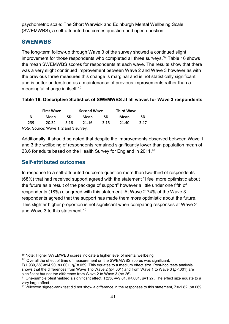psychometric scale: The Short Warwick and Edinburgh Mental Wellbeing Scale (SWEMWBS), a self-attributed outcomes question and open question.

#### **SWEMWBS**

The long-term follow-up through Wave 3 of the survey showed a continued slight improvement for those respondents who completed all three surveys. [39](#page-40-1) Table 16 shows the mean SWEMWBS scores for respondents at each wave. The results show that there was a very slight continued improvement between Wave 2 and Wave 3 however as with the previous three measures this change is marginal and is not statistically significant and is better understood as a maintenance of previous improvements rather than a meaningful change in itself. [40](#page-40-2)

#### <span id="page-40-0"></span>**Table 16: Descriptive Statistics of SWEMWBS at all waves for Wave 3 respondents.**

|     | <b>First Wave</b> |      | <b>Second Wave</b> |      | <b>Third Wave</b> |      |
|-----|-------------------|------|--------------------|------|-------------------|------|
| N   | Mean              | SD   | Mean               | SD   | Mean              | SD   |
| 239 | 20.34             | 3.16 | 21.16              | 3.15 | 21.40             | 3.47 |

*Note.* Source: Wave 1, 2 and 3 survey.

Additionally, it should be noted that despite the improvements observed between Wave 1 and 3 the wellbeing of respondents remained significantly lower than population mean of 23.6 for adults based on the Health Survey for England in 2011.<sup>[41](#page-40-3)</sup>

#### **Self-attributed outcomes**

-

In response to a self-attributed outcome question more than two-third of respondents (68%) that had received support agreed with the statement "I feel more optimistic about the future as a result of the package of support" however a little under one fifth of respondents (18%) disagreed with this statement. At Wave 2 74% of the Wave 3 respondents agreed that the support has made them more optimistic about the future. This slighter higher proportion is not significant when comparing responses at Wave 2 and Wave 3 to this statement  $42$ 

<span id="page-40-1"></span><sup>39</sup> Note: Higher SWEMWBS scores indicate a higher level of mental wellbeing

<span id="page-40-2"></span><sup>&</sup>lt;sup>40</sup> Overall the effect of time of measurement on the SWEMWBS scores was significant. F(1.939,238)=14,90,  $p<$ .001,  $\eta_p$ <sup>2</sup>=.059. This equates to a medium effect size. Post-hoc tests analysis shows that the differences from Wave 1 to Wave 2 (*p*<.001) and from Wave 1 to Wave 3 (*p*<.001) are

significant but not the difference from Wave 2 to Wave 3 (*p*=.26).

<span id="page-40-3"></span><sup>41</sup> One-sample t-test yielded a significant effect, T(238)=-9.81, *p*<.001, *d*=1.27. The effect size equate to a very large effect.

<span id="page-40-4"></span><sup>42</sup> Wilcoxon signed-rank test did not show a difference in the responses to this statement, Z=-1.82, *p*=.069.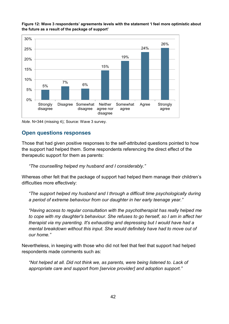

<span id="page-41-0"></span>**Figure 12: Wave 3 respondents' agreements levels with the statement 'I feel more optimistic about the future as a result of the package of support'**

*Note*. N=344 (missing 4); Source: Wave 3 survey.

#### **Open questions responses**

Those that had given positive responses to the self-attributed questions pointed to how the support had helped them. Some respondents referencing the direct effect of the therapeutic support for them as parents:

*"The counselling helped my husband and I considerably."* 

Whereas other felt that the package of support had helped them manage their children's difficulties more effectively:

*"The support helped my husband and I through a difficult time psychologically during a period of extreme behaviour from our daughter in her early teenage year."* 

*"Having access to regular consultation with the psychotherapist has really helped me to cope with my daughter's behaviour. She refuses to go herself, so I am in affect her therapist via my parenting. It's exhausting and depressing but I would have had a mental breakdown without this input. She would definitely have had to move out of our home."* 

Nevertheless, in keeping with those who did not feel that feel that support had helped respondents made comments such as:

*"Not helped at all. Did not think we, as parents, were being listened to. Lack of appropriate care and support from [service provider] and adoption support."*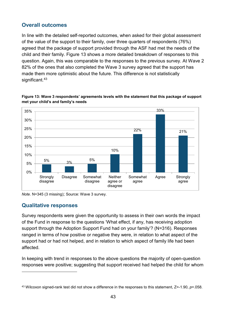## **Overall outcomes**

In line with the detailed self-reported outcomes, when asked for their global assessment of the value of the support to their family, over three quarters of respondents (76%) agreed that the package of support provided through the ASF had met the needs of the child and their family. Figure 13 shows a more detailed breakdown of responses to this question. Again, this was comparable to the responses to the previous survey. At Wave 2 82% of the ones that also completed the Wave 3 survey agreed that the support has made them more optimistic about the future. This difference is not statistically significant.<sup>[43](#page-42-1)</sup>



<span id="page-42-0"></span>**Figure 13: Wave 3 respondents' agreements levels with the statement that this package of support met your child's and family's needs**

*Note*. N=345 (3 missing); Source: Wave 3 survey.

#### **Qualitative responses**

-

Survey respondents were given the opportunity to assess in their own words the impact of the Fund in response to the questions 'What effect, if any, has receiving adoption support through the Adoption Support Fund had on your family'? (N=316). Responses ranged in terms of how positive or negative they were, in relation to what aspect of the support had or had not helped, and in relation to which aspect of family life had been affected.

In keeping with trend in responses to the above questions the majority of open-question responses were positive; suggesting that support received had helped the child for whom

<span id="page-42-1"></span><sup>43</sup> Wilcoxon signed-rank test did not show a difference in the responses to this statement, Z=-1.90, *p*=.058.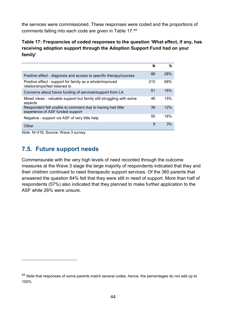the services were commissioned. These responses were coded and the proportions of comments falling into each code are given in Table 17. [44](#page-43-2)

#### <span id="page-43-1"></span>**Table 17: Frequencies of coded responses to the question 'What effect, if any, has receiving adoption support through the Adoption Support Fund had on your family'**

|                                                                                                | N   | ℅   |
|------------------------------------------------------------------------------------------------|-----|-----|
| Positive effect - diagnosis and access to specific therapy/courses                             | 88  | 28% |
| Positive effect - support for family as a whole/improved<br>relationships/feel listened to     | 215 | 68% |
| Concerns about future funding of services/support from LA                                      | 51  | 16% |
| Mixed views - valuable support but family still struggling with some<br>aspects                | 46  | 15% |
| Respondent felt unable to comment due to having had little<br>experience of ASF funded support | 39  | 12% |
| Negative - support via ASF of very little help                                                 | 50  | 16% |
| Other                                                                                          | 9   | 3%  |

*Note.* N=316; Source: Wave 3 survey.

-

# <span id="page-43-0"></span>**7.5. Future support needs**

Commensurate with the very high levels of need recorded through the outcome measures at the Wave 3 stage the large majority of respondents indicated that they and their children continued to need therapeutic support services. Of the 360 parents that answered the question 84% felt that they were still in need of support. More than half of respondents (57%) also indicated that they planned to make further application to the ASF while 26% were unsure.

<span id="page-43-2"></span><sup>&</sup>lt;sup>44</sup> Note that responses of some parents match several codes, hence, the percentages do not add up to 100%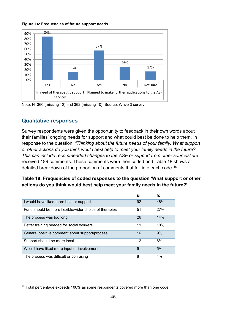#### <span id="page-44-0"></span>**Figure 14: Frequencies of future support needs**



Note. N=360 (missing 12) and 362 (missing 10); Source: Wave 3 survey.

#### **Qualitative responses**

-

Survey respondents were given the opportunity to feedback in their own words about their families' ongoing needs for support and what could best be done to help them. In response to the question: *"Thinking about the future needs of your family: What support or other actions do you think would best help to meet your family needs in the future? This can include recommended changes to the ASF or support from other sources"* we received 189 comments. These comments were then coded and Table 18 shows a detailed breakdown of the proportion of comments that fell into each code. [45](#page-44-2)

#### <span id="page-44-1"></span>**Table 18: Frequencies of coded responses to the question 'What support or other actions do you think would best help meet your family needs in the future?'**

|                                                        | N  | %   |
|--------------------------------------------------------|----|-----|
| I would have liked more help or support                | 92 | 48% |
| Fund should be more flexible/wider choice of therapies | 51 | 27% |
| The process was too long                               | 26 | 14% |
| Better training needed for social workers              | 19 | 10% |
| General positive comment about support/process         | 16 | 9%  |
| Support should be more local                           | 12 | 6%  |
| Would have liked more input or involvement             | 9  | 5%  |
| The process was difficult or confusing                 | 8  | 4%  |

<span id="page-44-2"></span><sup>45</sup> Total percentage exceeds 100% as some respondents covered more than one code.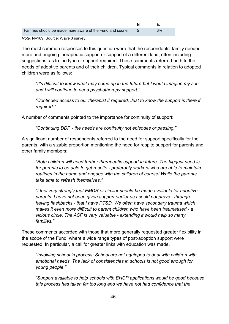| Families should be made more aware of the Fund and sooner | 3% |  |
|-----------------------------------------------------------|----|--|

*Note.* N=189. Source: Wave 3 survey.

The most common responses to this question were that the respondents' family needed more and ongoing therapeutic support or support of a different kind, often including suggestions, as to the type of support required. These comments referred both to the needs of adoptive parents and of their children. Typical comments in relation to adopted children were as follows:

*"It's difficult to know what may come up in the future but I would imagine my son and I will continue to need psychotherapy support."*

*"Continued access to our therapist if required. Just to know the support is there if required."* 

A number of comments pointed to the importance for continuity of support:

*"Continuing DDP - the needs are continuity not episodes or passing."*

A significant number of respondents referred to the need for support specifically for the parents, with a sizable proportion mentioning the need for respite support for parents and other family members:

*"Both children will need further therapeutic support in future. The biggest need is for parents to be able to get respite - preferably workers who are able to maintain routines in the home and engage with the children of course! While the parents take time to refresh themselves."* 

*"I feel very strongly that EMDR or similar should be made available for adoptive parents. I have not been given support earlier as I could not prove - through having flashbacks - that I have PTSD. We often have secondary trauma which makes it even more difficult to parent children who have been traumatised - a vicious circle. The ASF is very valuable - extending it would help so many families."* 

These comments accorded with those that more generally requested greater flexibility in the scope of the Fund, where a wide range types of post-adoption support were requested. In particular, a call for greater links with education was made.

*"Involving school in process: School are not equipped to deal with children with emotional needs. The lack of consistencies in schools is not good enough for young people."* 

*"Support available to help schools with EHCP applications would be good because this process has taken far too long and we have not had confidence that the*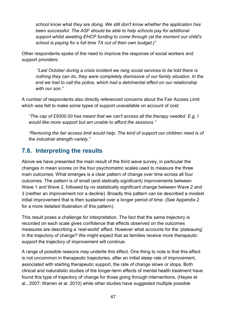*school know what they are doing. We still don't know whether the application has been successful. The ASF should be able to help schools pay for additional support whilst awaiting EHCP funding to come through (at the moment our child's school is paying for a full time TA out of their own budget.)"* 

Other respondents spoke of the need to improve the response of social workers and support providers:

 *"Last October during a crisis incident we rang social services to be told there is nothing they can do, they were completely dismissive of our family situation. In the end we had to call the police, which had a detrimental effect on our relationship with our son."* 

A number of respondents also directly referenced concerns about the Fair Access Limit which was felt to make some types of support unavailable on account of cost:

*"The cap of £5000.00 has meant that we can't access all the therapy needed. E.g. I would like more support but am unable to afford the sessions."*

*"Removing the fair access limit would help. The kind of support our children need is of the industrial strength variety."* 

# <span id="page-46-0"></span>**7.6. Interpreting the results**

Above we have presented the main result of the third wave survey, in particular the changes in mean scores on the four psychometric scales used to measure the three main outcomes. What emerges is a clear pattern of change over time across all four outcomes. The pattern is of small (and statically significant) improvements between Wave 1 and Wave 2, followed by no statistically significant change between Wave 2 and 3 (neither an improvement nor a decline). Broadly this pattern can be described a modest initial improvement that is then sustained over a longer period of time. (See Appendix 2 for a more detailed illustration of this pattern).

This result poses a challenge for interpretation. The fact that the same trajectory is recorded on each scale gives confidence that effects observed on the outcomes measures are describing a 'real-world' effect. However what accounts for the 'plateauing' in the trajectory of change? We might expect that as families receive more therapeutic support the trajectory of improvement will continue.

A range of possible reasons may underlie this effect. One thing to note is that this effect is not uncommon in therapeutic trajectories, after an initial steep rate of improvement, associated with starting therapeutic support, the rate of change slows or stops. Both clinical and naturalistic studies of the longer-term effects of mental health treatment have found this type of trajectory of change for those going through interventions, (Hayes et al., 2007; Warren et al. 2010) while other studies have suggested multiple possible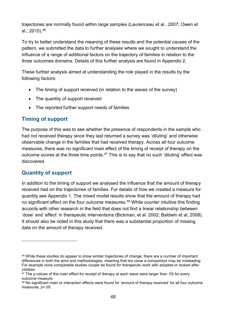trajectories are normally found within large samples (Laurenceau et al., 2007; Owen et al., 2015). [46](#page-47-0)

To try to better understand the meaning of these results and the potential causes of the pattern, we submitted the data to further analyses where we sought to understand the influence of a range of additional factors on the trajectory of families in relation to the three outcomes domains. Details of this further analysis are found in Appendix 2.

These further analysis aimed at understanding the role played in the results by the following factors:

- The timing of support received (in relation to the waves of the survey)
- The quantity of support received
- The reported further support needs of families

## **Timing of support**

The purpose of this was to see whether the presence of respondents in the sample who had not received therapy since they last returned a survey was 'diluting' and otherwise observable change in the families that had received therapy. Across all four outcome measures, there was no significant main effect of the timing of receipt of therapy on the outcome scores at the three time points.<sup>[47](#page-47-1)</sup> This is to say that no such 'diluting' effect was discovered.

## **Quantity of support**

-

In addition to the timing of support we analysed the influence that the amount of therapy received had on the trajectories of families. For details of how we created a measure for quantity see Appendix 1. The mixed model results show that the amount of therapy had no significant effect on the four outcome measures.<sup>[48](#page-47-2)</sup> While counter intuitive this finding accords with other research in the field that does not find a linear relationship between 'dose' and 'effect' in therapeutic interventions (Bickman, et al. 2002; Baldwin et al, 2008). It should also be noted in this study that there was a substantial proportion of missing data on the amount of therapy received.

<span id="page-47-0"></span><sup>46</sup> While these studies do appear to show similar trajectories of change, there are a number of important differences in both the aims and methodologies, meaning that too close a comparison may be misleading. For example none comparable studies couple be found for therapeutic work with adopted or looked after children

<span id="page-47-1"></span><sup>&</sup>lt;sup>47</sup> The p-values of the main effect for receipt of therapy at each wave were larger than .05 for every outcome measure.

<span id="page-47-2"></span><sup>48</sup> No significant main or interaction effects were found for 'amount of therapy received' for all four outcome measures, *p*>.05.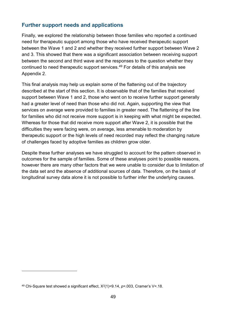#### **Further support needs and applications**

Finally, we explored the relationship between those families who reported a continued need for therapeutic support among those who have received therapeutic support between the Wave 1 and 2 and whether they received further support between Wave 2 and 3. This showed that there was a significant association between receiving support between the second and third wave and the responses to the question whether they continued to need therapeutic support services.[49](#page-48-0) For details of this analysis see Appendix 2.

This final analysis may help us explain some of the flattening out of the trajectory described at the start of this section. It is observable that of the families that received support between Wave 1 and 2, those who went on to receive further support generally had a greater level of need than those who did not. Again, supporting the view that services on average were provided to families in greater need. The flattening of the line for families who did not receive more support is in keeping with what might be expected. Whereas for those that did receive more support after Wave 2, it is possible that the difficulties they were facing were, on average, less amenable to moderation by therapeutic support or the high levels of need recorded may reflect the changing nature of challenges faced by adoptive families as children grow older.

Despite these further analyses we have struggled to account for the pattern observed in outcomes for the sample of families. Some of these analyses point to possible reasons, however there are many other factors that we were unable to consider due to limitation of the data set and the absence of additional sources of data. Therefore, on the basis of longitudinal survey data alone it is not possible to further infer the underlying causes.

<u>.</u>

<span id="page-48-0"></span><sup>49</sup> Chi-Square test showed a significant effect, Χ2(1)=9.14, *p*=.003, Cramer's V=.18.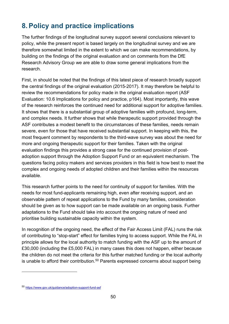# <span id="page-49-0"></span>**8. Policy and practice implications**

The further findings of the longitudinal survey support several conclusions relevant to policy, while the present report is based largely on the longitudinal survey and we are therefore somewhat limited in the extent to which we can make recommendations, by building on the findings of the original evaluation and on comments from the DfE Research Advisory Group we are able to draw some general implications from the research.

First, in should be noted that the findings of this latest piece of research broadly support the central findings of the original evaluation (2015-2017). It may therefore be helpful to review the recommendations for policy made in the original evaluation report (ASF Evaluation: 10.6 Implications for policy and practice, p164). Most importantly, this wave of the research reinforces the continued need for additional support for adoptive families. It shows that there is a substantial group of adoptive families with profound, long-term, and complex needs. It further shows that while therapeutic support provided through the ASF contributes a modest benefit to the circumstances of these families, needs remain severe, even for those that have received substantial support. In keeping with this, the most frequent comment by respondents to the third-wave survey was about the need for more and ongoing therapeutic support for their families. Taken with the original evaluation findings this provides a strong case for the continued provision of postadoption support through the Adoption Support Fund or an equivalent mechanism. The questions facing policy makers and services providers in this field is how best to meet the complex and ongoing needs of adopted children and their families within the resources available.

This research further points to the need for continuity of support for families. With the needs for most fund-applicants remaining high, even after receiving support, and an observable pattern of repeat applications to the Fund by many families, consideration should be given as to how support can be made available on an ongoing basis. Further adaptations to the Fund should take into account the ongoing nature of need and prioritise building sustainable capacity within the system.

In recognition of the ongoing need, the effect of the Fair Access Limit (FAL) runs the risk of contributing to "stop-start" effect for families trying to access support. While the FAL in principle allows for the local authority to match funding with the ASF up to the amount of £30,000 (including the £5,000 FAL) in many cases this does not happen, either because the children do not meet the criteria for this further matched funding or the local authority is unable to afford their contribution.<sup>[50](#page-49-1)</sup> Parents expressed concerns about support being

-

<span id="page-49-1"></span><sup>50</sup> <https://www.gov.uk/guidance/adoption-support-fund-asf>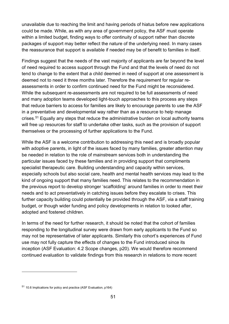unavailable due to reaching the limit and having periods of hiatus before new applications could be made. While, as with any area of government policy, the ASF must operate within a limited budget, finding ways to offer continuity of support rather than discrete packages of support may better reflect the nature of the underlying need. In many cases the reassurance that support is available if needed may be of benefit to families in itself.

Findings suggest that the needs of the vast majority of applicants are far beyond the level of need required to access support through the Fund and that the levels of need do not tend to change to the extent that a child deemed in need of support at one assessment is deemed not to need it three months later. Therefore the requirement for regular reassessments in order to confirm continued need for the Fund might be reconsidered. While the subsequent re-assessments are not required to be full assessments of need and many adoption teams developed light-touch approaches to this process any steps that reduce barriers to access for families are likely to encourage parents to use the ASF in a preventative and developmental way rather than as a resource to help manage crises.<sup>[51](#page-50-0)</sup> Equally any steps that reduce the administrative burden on local authority teams will free up resources for staff to undertake other tasks, such as the provision of support themselves or the processing of further applications to the Fund.

While the ASF is a welcome contribution to addressing this need and is broadly popular with adoptive parents, in light of the issues faced by many families, greater attention may be needed in relation to the role of mainstream services both in understanding the particular issues faced by these families and in providing support that compliments specialist therapeutic care. Building understanding and capacity within services, especially schools but also social care, health and mental health services may lead to the kind of ongoing support that many families need. This relates to the recommendation in the previous report to develop stronger 'scaffolding' around families in order to meet their needs and to act preventatively in catching issues before they escalate to crises. This further capacity building could potentially be provided through the ASF, via a staff training budget, or though wider funding and policy developments in relation to looked after, adopted and fostered children.

In terms of the need for further research, it should be noted that the cohort of families responding to the longitudinal survey were drawn from early applicants to the Fund so may not be representative of later applicants. Similarly this cohort's experiences of Fund use may not fully capture the effects of changes to the Fund introduced since its inception (ASF Evaluation: 4.2 Scope changes, p20). We would therefore recommend continued evaluation to validate findings from this research in relations to more recent

-

<span id="page-50-0"></span><sup>51</sup> 10.6 Implications for policy and practice (ASF Evaluation, p164)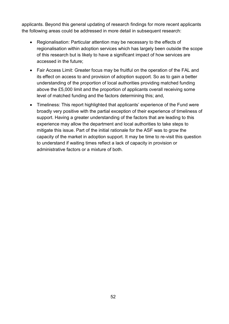applicants. Beyond this general updating of research findings for more recent applicants the following areas could be addressed in more detail in subsequent research:

- Regionalisation: Particular attention may be necessary to the effects of regionalisation within adoption services which has largely been outside the scope of this research but is likely to have a significant impact of how services are accessed in the future;
- Fair Access Limit: Greater focus may be fruitful on the operation of the FAL and its effect on access to and provision of adoption support. So as to gain a better understanding of the proportion of local authorities providing matched funding above the £5,000 limit and the proportion of applicants overall receiving some level of matched funding and the factors determining this; and,
- Timeliness: This report highlighted that applicants' experience of the Fund were broadly very positive with the partial exception of their experience of timeliness of support. Having a greater understanding of the factors that are leading to this experience may allow the department and local authorities to take steps to mitigate this issue. Part of the initial rationale for the ASF was to grow the capacity of the market in adoption support. It may be time to re-visit this question to understand if waiting times reflect a lack of capacity in provision or administrative factors or a mixture of both.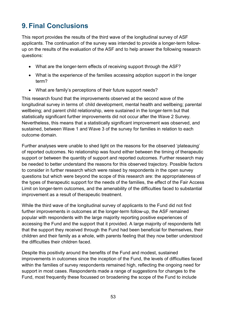# <span id="page-52-0"></span>**9. Final Conclusions**

This report provides the results of the third wave of the longitudinal survey of ASF applicants. The continuation of the survey was intended to provide a longer-term followup on the results of the evaluation of the ASF and to help answer the following research questions:

- What are the longer-term effects of receiving support through the ASF?
- What is the experience of the families accessing adoption support in the longer term?
- What are family's perceptions of their future support needs?

This research found that the improvements observed at the second wave of the longitudinal survey in terms of: child development, mental health and wellbeing; parental wellbeing; and parent child relationship, were sustained in the longer-term but that statistically significant further improvements did not occur after the Wave 2 Survey. Nevertheless, this means that a statistically significant improvement was observed, and sustained, between Wave 1 and Wave 3 of the survey for families in relation to each outcome domain.

Further analyses were unable to shed light on the reasons for the observed 'plateauing' of reported outcomes. No relationship was found either between the timing of therapeutic support or between the quantity of support and reported outcomes. Further research may be needed to better understand the reasons for this observed trajectory. Possible factors to consider in further research which were raised by respondents in the open survey questions but which were beyond the scope of this research are: the appropriateness of the types of therapeutic support for the needs of the families, the effect of the Fair Access Limit on longer-term outcomes, and the amenability of the difficulties faced to substantial improvement as a result of therapeutic treatment.

While the third wave of the longitudinal survey of applicants to the Fund did not find further improvements in outcomes at the longer-term follow-up, the ASF remained popular with respondents with the large majority reporting positive experiences of accessing the Fund and the support that it provided. A large majority of respondents felt that the support they received through the Fund had been beneficial for themselves, their children and their family as a whole, with parents feeling that they now better understood the difficulties their children faced.

Despite this positivity around the benefits of the Fund and modest, sustained improvements in outcomes since the inception of the Fund, the levels of difficulties faced within the families of survey respondents remained high, reflecting the ongoing need for support in most cases. Respondents made a range of suggestions for changes to the Fund, most frequently these focussed on broadening the scope of the Fund to include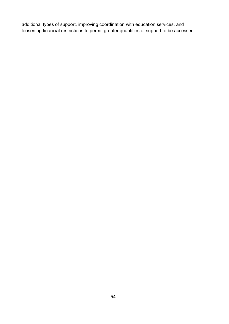additional types of support, improving coordination with education services, and loosening financial restrictions to permit greater quantities of support to be accessed.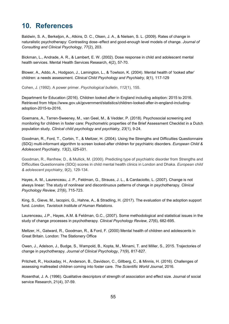# <span id="page-54-0"></span>**10. References**

Baldwin, S. A., Berkeljon, A., Atkins, D. C., Olsen, J. A., & Nielsen, S. L. (2009). Rates of change in naturalistic psychotherapy: Contrasting dose–effect and good-enough level models of change. *Journal of Consulting and Clinical Psychology*, *77*(2), 203.

Bickman, L., Andrade, A. R., & Lambert, E. W. (2002). Dose response in child and adolescent mental health services. Mental Health Services Research, 4(2), 57-70.

Blower, A., Addo, A., Hodgson, J., Lamington, L., & Towlson, K. (2004). Mental health of 'looked after' children: a needs assessment. *Clinical Child Psychology and Psychiatry, 9*(1), 117-129

Cohen, J. (1992). A power primer. *Psychological bulletin*, *112*(1), 155.

Department for Education (2016). Children looked after in England including adoption: 2015 to 2016. Retrieved from [https://www.gov.uk/government/statistics/children-looked-after-in-england-including](https://www.gov.uk/government/statistics/children-looked-after-in-england-including-adoption-2015-to-2016)[adoption-2015-to-2016.](https://www.gov.uk/government/statistics/children-looked-after-in-england-including-adoption-2015-to-2016)

Goemans, A., Tarren-Sweeney, M., van Geel, M., & Vedder, P. (2018). Psychosocial screening and monitoring for children in foster care: Psychometric properties of the Brief Assessment Checklist in a Dutch population study. *Clinical child psychology and psychiatry, 23*(1), 9-24.

Goodman, R., Ford, T., Corbin, T., & Meltzer, H. (2004). Using the Strengths and Difficulties Questionnaire (SDQ) multi-informant algorithm to screen looked-after children for psychiatric disorders. *European Child & Adolescent Psychiatry, 13*(2), ii25-ii31.

Goodman, R., Renfrew, D., & Mullick, M. (2000). Predicting type of psychiatric disorder from Strengths and Difficulties Questionnaire (SDQ) scores in child mental health clinics in London and Dhaka. *European child & adolescent psychiatry*, *9*(2), 129-134.

Hayes, A. M., Laurenceau, J. P., Feldman, G., Strauss, J. L., & Cardaciotto, L. (2007). Change is not always linear: The study of nonlinear and discontinuous patterns of change in psychotherapy. *Clinical Psychology Review, 27*(6), 715-723.

King, S., Gieve, M., Iacopini, G., Hahne, A., & Stradling, H. (2017). The evaluation of the adoption support fund. *London, Tavistock Institute of Human Relations*.

Laurenceau, J.P., Hayes, A.M. & Feldman, G.C., (2007). Some methodological and statistical issues in the study of change processes in psychotherapy*. Clinical Psychology Review, 27*(6), 682-695.

Meltzer, H., Gatward, R., Goodman, R., & Ford, F. (2000) Mental health of children and adolescents in Great Britain. London: The Stationery Office

Owen, J., Adelson, J., Budge, S., Wampold, B., Kopta, M., Minami, T. and Miller, S., 2015. Trajectories of change in psychotherapy. *Journal of Clinical Psychology*, *71*(9), 817-827.

Pritchett, R., Hockaday, H., Anderson, B., Davidson, C., Gillberg, C., & Minnis, H. (2016). Challenges of assessing maltreated children coming into foster care. *The Scientific World Journal*, 2016.

Rosenthal, J. A. (1996). Qualitative descriptors of strength of association and effect size. Journal of social service Research, 21(4), 37-59.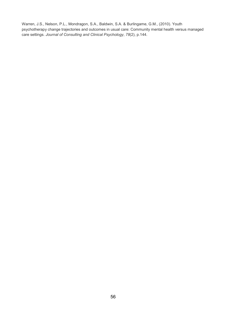Warren, J.S., Nelson, P.L., Mondragon, S.A., Baldwin, S.A. & Burlingame, G.M., (2010). Youth psychotherapy change trajectories and outcomes in usual care: Community mental health versus managed care settings. *Journal of Consulting and Clinical Psychology*, *78*(2), p.144.